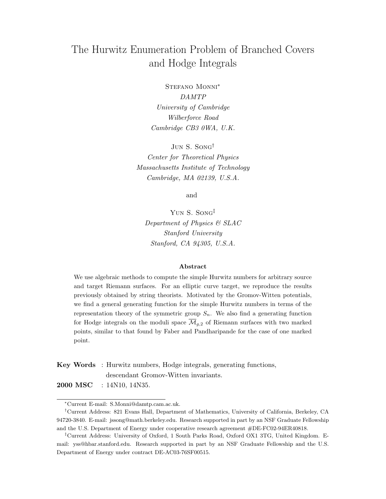# The Hurwitz Enumeration Problem of Branched Covers and Hodge Integrals

Stefano Monni∗ DAMTP University of Cambridge Wilberforce Road Cambridge CB3 0WA, U.K.

Jun S. Song† Center for Theoretical Physics Massachusetts Institute of Technology Cambridge, MA 02139, U.S.A.

and

Yun S. Song‡ Department of Physics & SLAC Stanford University Stanford, CA 94305, U.S.A.

#### Abstract

We use algebraic methods to compute the simple Hurwitz numbers for arbitrary source and target Riemann surfaces. For an elliptic curve target, we reproduce the results previously obtained by string theorists. Motivated by the Gromov-Witten potentials, we find a general generating function for the simple Hurwitz numbers in terms of the representation theory of the symmetric group  $S_n$ . We also find a generating function for Hodge integrals on the moduli space  $\overline{\mathcal{M}}_{q,2}$  of Riemann surfaces with two marked points, similar to that found by Faber and Pandharipande for the case of one marked point.

Key Words : Hurwitz numbers, Hodge integrals, generating functions, descendant Gromov-Witten invariants.

2000 MSC : 14N10, 14N35.

<sup>∗</sup>Current E-mail: S.Monni@damtp.cam.ac.uk.

<sup>†</sup>Current Address: 821 Evans Hall, Department of Mathematics, University of California, Berkeley, CA 94720-3840. E-mail: jssong@math.berkeley.edu. Research supported in part by an NSF Graduate Fellowship and the U.S. Department of Energy under cooperative research agreement #DE-FC02-94ER40818.

<sup>‡</sup>Current Address: University of Oxford, 1 South Parks Road, Oxford OX1 3TG, United Kingdom. Email: yss@hbar.stanford.edu. Research supported in part by an NSF Graduate Fellowship and the U.S. Department of Energy under contract DE-AC03-76SF00515.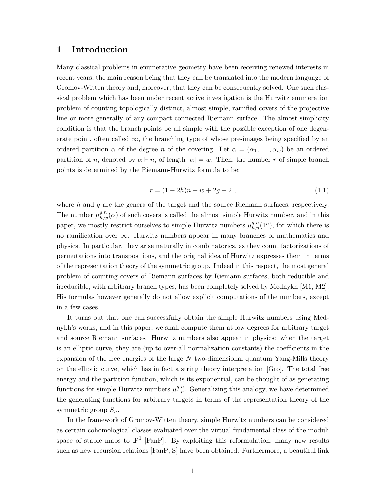### 1 Introduction

Many classical problems in enumerative geometry have been receiving renewed interests in recent years, the main reason being that they can be translated into the modern language of Gromov-Witten theory and, moreover, that they can be consequently solved. One such classical problem which has been under recent active investigation is the Hurwitz enumeration problem of counting topologically distinct, almost simple, ramified covers of the projective line or more generally of any compact connected Riemann surface. The almost simplicity condition is that the branch points be all simple with the possible exception of one degenerate point, often called  $\infty$ , the branching type of whose pre-images being specified by an ordered partition  $\alpha$  of the degree n of the covering. Let  $\alpha = (\alpha_1, \ldots, \alpha_w)$  be an ordered partition of n, denoted by  $\alpha \vdash n$ , of length  $|\alpha| = w$ . Then, the number r of simple branch points is determined by the Riemann-Hurwitz formula to be:

$$
r = (1 - 2h)n + w + 2g - 2 \tag{1.1}
$$

where  $h$  and  $q$  are the genera of the target and the source Riemann surfaces, respectively. The number  $\mu_{h,w}^{g,n}(\alpha)$  of such covers is called the almost simple Hurwitz number, and in this paper, we mostly restrict ourselves to simple Hurwitz numbers  $\mu_{h,n}^{g,n}(1^n)$ , for which there is no ramification over  $\infty$ . Hurwitz numbers appear in many branches of mathematics and physics. In particular, they arise naturally in combinatorics, as they count factorizations of permutations into transpositions, and the original idea of Hurwitz expresses them in terms of the representation theory of the symmetric group. Indeed in this respect, the most general problem of counting covers of Riemann surfaces by Riemann surfaces, both reducible and irreducible, with arbitrary branch types, has been completely solved by Mednykh [M1, M2]. His formulas however generally do not allow explicit computations of the numbers, except in a few cases.

It turns out that one can successfully obtain the simple Hurwitz numbers using Mednykh's works, and in this paper, we shall compute them at low degrees for arbitrary target and source Riemann surfaces. Hurwitz numbers also appear in physics: when the target is an elliptic curve, they are (up to over-all normalization constants) the coefficients in the expansion of the free energies of the large  $N$  two-dimensional quantum Yang-Mills theory on the elliptic curve, which has in fact a string theory interpretation [Gro]. The total free energy and the partition function, which is its exponential, can be thought of as generating functions for simple Hurwitz numbers  $\mu_{1,n}^{g,n}$ . Generalizing this analogy, we have determined the generating functions for arbitrary targets in terms of the representation theory of the symmetric group  $S_n$ .

In the framework of Gromov-Witten theory, simple Hurwitz numbers can be considered as certain cohomological classes evaluated over the virtual fundamental class of the moduli space of stable maps to  $\mathbb{P}^1$  [FanP]. By exploiting this reformulation, many new results such as new recursion relations [FanP, S] have been obtained. Furthermore, a beautiful link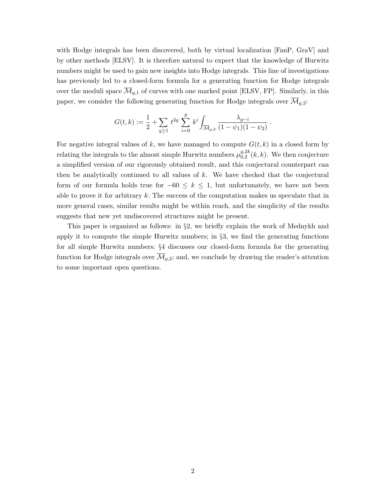with Hodge integrals has been discovered, both by virtual localization [FanP, GraV] and by other methods [ELSV]. It is therefore natural to expect that the knowledge of Hurwitz numbers might be used to gain new insights into Hodge integrals. This line of investigations has previously led to a closed-form formula for a generating function for Hodge integrals over the moduli space  $\overline{\mathcal{M}}_{q,1}$  of curves with one marked point [ELSV, FP]. Similarly, in this paper, we consider the following generating function for Hodge integrals over  $\overline{\mathcal{M}}_{q,2}$ :

$$
G(t,k) := \frac{1}{2} + \sum_{g \ge 1} t^{2g} \sum_{i=0}^g k^i \int_{\overline{\mathcal{M}}_{g,2}} \frac{\lambda_{g-i}}{(1 - \psi_1)(1 - \psi_2)}.
$$

For negative integral values of k, we have managed to compute  $G(t, k)$  in a closed form by relating the integrals to the almost simple Hurwitz numbers  $\mu_{0,2}^{g,2k}$  $_{0,2}^{g,z\kappa}(k,k)$ . We then conjecture a simplified version of our rigorously obtained result, and this conjectural counterpart can then be analytically continued to all values of  $k$ . We have checked that the conjectural form of our formula holds true for  $-60 \leq k \leq 1$ , but unfortunately, we have not been able to prove it for arbitrary  $k$ . The success of the computation makes us speculate that in more general cases, similar results might be within reach, and the simplicity of the results suggests that new yet undiscovered structures might be present.

This paper is organized as follows: in §2, we briefly explain the work of Mednykh and apply it to compute the simple Hurwitz numbers; in §3, we find the generating functions for all simple Hurwitz numbers; §4 discusses our closed-form formula for the generating function for Hodge integrals over  $\overline{\mathcal{M}}_{g,2}$ ; and, we conclude by drawing the reader's attention to some important open questions.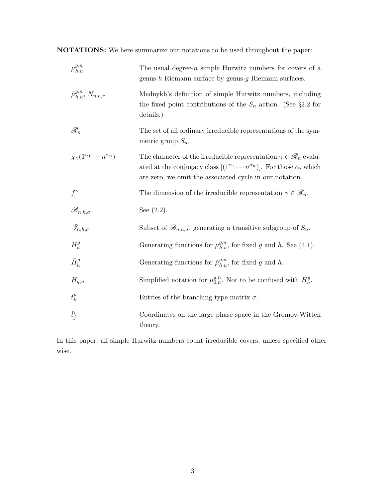NOTATIONS: We here summarize our notations to be used throughout the paper:

| $\mu_{h,n}^{g,n}$                                | The usual degree- $n$ simple Hurwitz numbers for covers of a<br>genus-h Riemann surface by genus- $g$ Riemann surfaces.                                                                                                                         |
|--------------------------------------------------|-------------------------------------------------------------------------------------------------------------------------------------------------------------------------------------------------------------------------------------------------|
| $\tilde{\mu}_{h,n}^{g,n}, N_{n,h,r}$             | Mednykh's definition of simple Hurwitz numbers, including<br>the fixed point contributions of the $S_n$ action. (See §2.2 for<br>details.)                                                                                                      |
| $\mathscr{R}_n$                                  | The set of all ordinary irreducible representations of the sym-<br>metric group $S_n$ .                                                                                                                                                         |
| $\chi_{\gamma}(1^{\alpha_1}\cdots n^{\alpha_n})$ | The character of the irreducible representation $\gamma \in \mathscr{R}_n$ evalu-<br>ated at the conjugacy class $[(1^{\alpha_1} \cdots n^{\alpha_n})]$ . For those $\alpha_i$ which<br>are zero, we omit the associated cycle in our notation. |
| $f^{\gamma}$                                     | The dimension of the irreducible representation $\gamma \in \mathscr{R}_n$ .                                                                                                                                                                    |
| $\mathscr{B}_{n,h,\sigma}$                       | See $(2.2)$ .                                                                                                                                                                                                                                   |
| $\mathcal{T}_{n,h,\sigma}$                       | Subset of $\mathscr{B}_{n,h,\sigma}$ , generating a transitive subgroup of $S_n$ .                                                                                                                                                              |
| $H_h^g$                                          | Generating functions for $\mu_{h,n}^{g,n}$ , for fixed g and h. See (4.1).                                                                                                                                                                      |
| $\widetilde{H}_h^g$                              | Generating functions for $\tilde{\mu}_{h,n}^{g,n}$ , for fixed g and h.                                                                                                                                                                         |
| $H_{g,n}$                                        | Simplified notation for $\mu_{0,n}^{g,n}$ . Not to be confused with $H_h^g$ .                                                                                                                                                                   |
| $t_k^p$                                          | Entries of the branching type matrix $\sigma$ .                                                                                                                                                                                                 |
| $\hat{t}^i_j$                                    | Coordinates on the large phase space in the Gromov-Witten<br>theory.                                                                                                                                                                            |

In this paper, all simple Hurwitz numbers count irreducible covers, unless specified otherwise.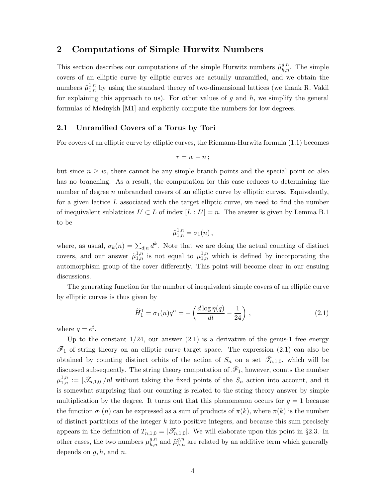### 2 Computations of Simple Hurwitz Numbers

This section describes our computations of the simple Hurwitz numbers  $\tilde{\mu}_{h,n}^{g,n}$ . The simple covers of an elliptic curve by elliptic curves are actually unramified, and we obtain the numbers  $\tilde{\mu}_{1,n}^{1,n}$  by using the standard theory of two-dimensional lattices (we thank R. Vakil for explaining this approach to us). For other values of  $g$  and  $h$ , we simplify the general formulas of Mednykh [M1] and explicitly compute the numbers for low degrees.

#### 2.1 Unramified Covers of a Torus by Tori

For covers of an elliptic curve by elliptic curves, the Riemann-Hurwitz formula (1.1) becomes

$$
r=w-n\,;
$$

but since  $n \geq w$ , there cannot be any simple branch points and the special point  $\infty$  also has no branching. As a result, the computation for this case reduces to determining the number of degree  $n$  unbranched covers of an elliptic curve by elliptic curves. Equivalently, for a given lattice  $L$  associated with the target elliptic curve, we need to find the number of inequivalent sublattices  $L' \subset L$  of index  $[L: L'] = n$ . The answer is given by Lemma B.1 to be

$$
\tilde{\mu}_{1,n}^{1,n} = \sigma_1(n)\,,
$$

where, as usual,  $\sigma_k(n) = \sum_{d|n} d^k$ . Note that we are doing the actual counting of distinct covers, and our answer  $\tilde{\mu}_{1,n}^{1,n}$  is not equal to  $\mu_{1,n}^{1,n}$  which is defined by incorporating the automorphism group of the cover differently. This point will become clear in our ensuing discussions.

The generating function for the number of inequivalent simple covers of an elliptic curve by elliptic curves is thus given by

$$
\widetilde{H}_1^1 = \sigma_1(n)q^n = -\left(\frac{d\log \eta(q)}{dt} - \frac{1}{24}\right),\tag{2.1}
$$

where  $q = e^t$ .

Up to the constant  $1/24$ , our answer  $(2.1)$  is a derivative of the genus-1 free energy  $\mathscr{F}_1$  of string theory on an elliptic curve target space. The expression (2.1) can also be obtained by counting distinct orbits of the action of  $S_n$  on a set  $\mathscr{T}_{n,1,0}$ , which will be discussed subsequently. The string theory computation of  $\mathscr{F}_1$ , however, counts the number  $\mu_{1,n}^{1,n} := |\mathcal{F}_{n,1,0}|/n!$  without taking the fixed points of the  $S_n$  action into account, and it is somewhat surprising that our counting is related to the string theory answer by simple multiplication by the degree. It turns out that this phenomenon occurs for  $q = 1$  because the function  $\sigma_1(n)$  can be expressed as a sum of products of  $\pi(k)$ , where  $\pi(k)$  is the number of distinct partitions of the integer  $k$  into positive integers, and because this sum precisely appears in the definition of  $T_{n,1,0} = |\mathcal{T}_{n,1,0}|$ . We will elaborate upon this point in §2.3. In other cases, the two numbers  $\mu_{h,n}^{g,n}$  and  $\tilde{\mu}_{h,n}^{g,n}$  are related by an additive term which generally depends on  $q, h$ , and  $n$ .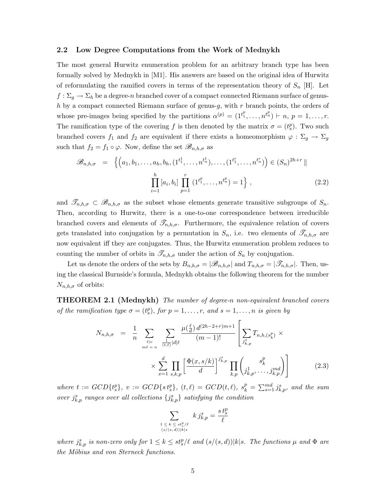#### 2.2 Low Degree Computations from the Work of Mednykh

The most general Hurwitz enumeration problem for an arbitrary branch type has been formally solved by Mednykh in [M1]. His answers are based on the original idea of Hurwitz of reformulating the ramified covers in terms of the representation theory of  $S_n$  [H]. Let  $f: \Sigma_g \to \Sigma_h$  be a degree-n branched cover of a compact connected Riemann surface of genush by a compact connected Riemann surface of genus-g, with  $r$  branch points, the orders of whose pre-images being specified by the partitions  $\alpha^{(p)} = (1^{t_1^p}, \ldots, n^{t_n^p}) \vdash n, p = 1, \ldots, r$ . The ramification type of the covering f is then denoted by the matrix  $\sigma = (t_s^p)$ . Two such branched covers  $f_1$  and  $f_2$  are equivalent if there exists a homeomorphism  $\varphi : \Sigma_g \to \Sigma_g$ such that  $f_2 = f_1 \circ \varphi$ . Now, define the set  $\mathscr{B}_{n,h,\sigma}$  as

$$
\mathscr{B}_{n,h,\sigma} = \left\{ \left( a_1, b_1, \dots, a_h, b_h, (1^{t_1^1}, \dots, n^{t_n^1}), \dots, (1^{t_1^r}, \dots, n^{t_n^r}) \right) \in (S_n)^{2h+r} \mid \right\}
$$
\n
$$
\prod_{i=1}^h [a_i, b_i] \prod_{p=1}^r (1^{t_1^p}, \dots, n^{t_n^p}) = 1 \right\},
$$
\n(2.2)

and  $\mathscr{T}_{n,h,\sigma} \subset \mathscr{B}_{n,h,\sigma}$  as the subset whose elements generate transitive subgroups of  $S_n$ . Then, according to Hurwitz, there is a one-to-one correspondence between irreducible branched covers and elements of  $\mathscr{T}_{n,h,\sigma}$ . Furthermore, the equivalence relation of covers gets translated into conjugation by a permutation in  $S_n$ , i.e. two elements of  $\mathscr{T}_{n,h,\sigma}$  are now equivalent iff they are conjugates. Thus, the Hurwitz enumeration problem reduces to counting the number of orbits in  $\mathscr{T}_{n,h,\sigma}$  under the action of  $S_n$  by conjugation.

Let us denote the orders of the sets by  $B_{n,h,\sigma} = |\mathscr{B}_{n,h,\sigma}|$  and  $T_{n,h,\sigma} = |\mathscr{T}_{n,h,\sigma}|$ . Then, using the classical Burnside's formula, Mednykh obtains the following theorem for the number  $N_{n,h,\sigma}$  of orbits:

THEOREM 2.1 (Mednykh) The number of degree-n non-equivalent branched covers of the ramification type  $\sigma = (t_s^p)$ , for  $p = 1, \ldots, r$ , and  $s = 1, \ldots, n$  is given by

$$
N_{n,h,\sigma} = \frac{1}{n} \sum_{\ell \mid v \atop m\ell = n} \sum_{\frac{(\ell, \ell)}{(t,\ell)} \leq |d|\ell} \frac{\mu(\frac{\ell}{d}) d^{(2h-2+r)m+1}}{(m-1)!} \left[ \sum_{j_{k,p}^s} T_{n,h,(s_k^p)} \times \times \sum_{x=1}^d \prod_{s,k,p} \left[ \frac{\Phi(x,s/k)}{d} \right]^{j_{k,p}^s} \prod_{k,p} \left( \prod_{j_{k,p}^1, \ldots, j_{k,p}^m} s_{k,p}^p \right) \right]
$$
(2.3)

where  $t := GCD{t_s^p}$ ,  $v := GCD{st_s^p}$ ,  $(t, \ell) = GCD(t, \ell)$ ,  $s_k^p = \sum_{s=1}^{md} j_{k,p}^s$ , and the sum over  $j_{k,p}^s$  ranges over all collections  $\{j_{k,p}^s\}$  satisfying the condition

$$
\sum_{\substack{1 \leq k \leq st_s^p/\ell \\ (s/(s,d))|k|s}} k j_{k,p}^s = \frac{st_s^p}{\ell}
$$

where  $j_{k,p}^s$  is non-zero only for  $1 \leq k \leq st_s^p/\ell$  and  $(s/(s,d))|k|s$ . The functions  $\mu$  and  $\Phi$  are the Möbius and von Sterneck functions.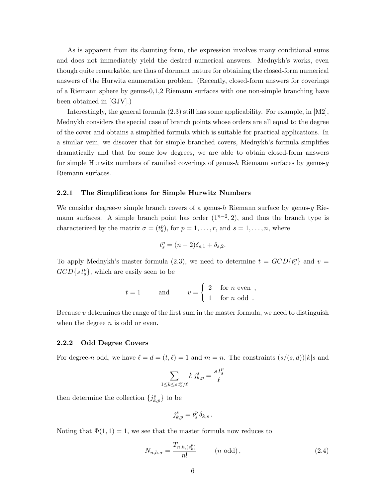As is apparent from its daunting form, the expression involves many conditional sums and does not immediately yield the desired numerical answers. Mednykh's works, even though quite remarkable, are thus of dormant nature for obtaining the closed-form numerical answers of the Hurwitz enumeration problem. (Recently, closed-form answers for coverings of a Riemann sphere by genus-0,1,2 Riemann surfaces with one non-simple branching have been obtained in [GJV].)

Interestingly, the general formula (2.3) still has some applicability. For example, in [M2], Mednykh considers the special case of branch points whose orders are all equal to the degree of the cover and obtains a simplified formula which is suitable for practical applications. In a similar vein, we discover that for simple branched covers, Mednykh's formula simplifies dramatically and that for some low degrees, we are able to obtain closed-form answers for simple Hurwitz numbers of ramified coverings of genus-h Riemann surfaces by genus-g Riemann surfaces.

#### 2.2.1 The Simplifications for Simple Hurwitz Numbers

We consider degree-n simple branch covers of a genus-h Riemann surface by genus-g Riemann surfaces. A simple branch point has order  $(1^{n-2}, 2)$ , and thus the branch type is characterized by the matrix  $\sigma = (t_s^p)$ , for  $p = 1, \ldots, r$ , and  $s = 1, \ldots, n$ , where

$$
t_s^p = (n-2)\delta_{s,1} + \delta_{s,2}.
$$

To apply Mednykh's master formula (2.3), we need to determine  $t = GCD\{t_s^p\}$  and  $v =$  $GCD{s t<sub>s</sub><sup>p</sup>},$  which are easily seen to be

$$
t = 1
$$
 and  $v = \begin{cases} 2 & \text{for } n \text{ even}, \\ 1 & \text{for } n \text{ odd}. \end{cases}$ 

Because  $v$  determines the range of the first sum in the master formula, we need to distinguish when the degree  $n$  is odd or even.

#### 2.2.2 Odd Degree Covers

For degree-n odd, we have  $\ell = d = (t, \ell) = 1$  and  $m = n$ . The constraints  $(s/(s, d))|k|s$  and

$$
\sum_{1\leq k\leq s}\tfrac{k\,j_{k,p}^s}{\ell}=\frac{s\,t_{s}^p}{\ell}
$$

then determine the collection  $\{j_{k,p}^s\}$  to be

$$
j_{k,p}^s = t_s^p \, \delta_{k,s} \, .
$$

Noting that  $\Phi(1,1) = 1$ , we see that the master formula now reduces to

$$
N_{n,h,\sigma} = \frac{T_{n,h,(s_k^p)}}{n!} \qquad (n \text{ odd}),
$$
\n(2.4)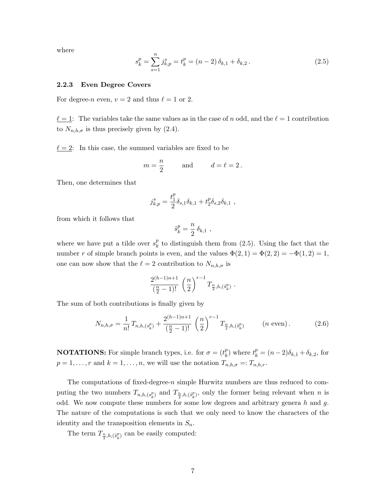where

$$
s_k^p = \sum_{s=1}^n j_{k,p}^s = t_k^p = (n-2)\,\delta_{k,1} + \delta_{k,2} \,. \tag{2.5}
$$

#### 2.2.3 Even Degree Covers

For degree-n even,  $v = 2$  and thus  $\ell = 1$  or 2.

 $\underline{\ell} = 1$ : The variables take the same values as in the case of n odd, and the  $\ell = 1$  contribution to  $N_{n,h,\sigma}$  is thus precisely given by (2.4).

 $\ell = 2$ : In this case, the summed variables are fixed to be

$$
m = \frac{n}{2}
$$
 and  $d = \ell = 2$ .

Then, one determines that

$$
j_{k,p}^s = \frac{t_1^p}{2} \delta_{s,1} \delta_{k,1} + t_2^p \delta_{s,2} \delta_{k,1} ,
$$

from which it follows that

$$
\tilde{s}_k^p = \frac{n}{2} \, \delta_{k,1} \ ,
$$

where we have put a tilde over  $s_k^p$  $\frac{p}{k}$  to distinguish them from (2.5). Using the fact that the number r of simple branch points is even, and the values  $\Phi(2,1) = \Phi(2,2) = -\Phi(1,2) = 1$ , one can now show that the  $\ell = 2$  contribution to  $N_{n,h,\sigma}$  is

$$
\frac{2^{(h-1)n+1}}{\left(\frac{n}{2}-1\right)!} \left(\frac{n}{2}\right)^{r-1} T_{\frac{n}{2},h,\left(\tilde{s}_k^p\right)} \ .
$$

The sum of both contributions is finally given by

$$
N_{n,h,\sigma} = \frac{1}{n!} T_{n,h,(s_k^p)} + \frac{2^{(h-1)n+1}}{\left(\frac{n}{2} - 1\right)!} \left(\frac{n}{2}\right)^{r-1} T_{\frac{n}{2},h,(s_k^p)} \qquad (n \text{ even}). \tag{2.6}
$$

**NOTATIONS:** For simple branch types, i.e. for  $\sigma = (t_k^p)$  $k_{k}^{p}$ ) where  $t_{k}^{p} = (n-2)\delta_{k,1} + \delta_{k,2}$ , for  $p = 1, \ldots, r$  and  $k = 1, \ldots, n$ , we will use the notation  $T_{n,h,\sigma} =: T_{n,h,r}$ .

The computations of fixed-degree-n simple Hurwitz numbers are thus reduced to computing the two numbers  $T_{n,h,(s_k^p)}$  and  $T_{\frac{n}{2},h,(s_k^p)}$ , only the former being relevant when n is odd. We now compute these numbers for some low degrees and arbitrary genera  $h$  and  $g$ . The nature of the computations is such that we only need to know the characters of the identity and the transposition elements in  $S_n$ .

The term  $T_{\frac{n}{2},h,(\tilde{s}_k^p)}$  can be easily computed: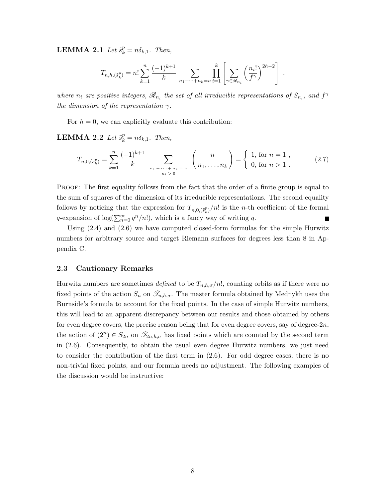**LEMMA 2.1** Let  $\tilde{s}_k^p = n\delta_{k,1}$ . Then,

$$
T_{n,h,(\tilde{s}_k^p)} = n! \sum_{k=1}^n \frac{(-1)^{k+1}}{k} \sum_{n_1 + \dots + n_k = n} \prod_{i=1}^k \left[ \sum_{\gamma \in \mathscr{R}_{n_i}} \left( \frac{n_i!}{f^{\gamma}} \right)^{2h-2} \right].
$$

where  $n_i$  are positive integers,  $\mathscr{R}_{n_i}$  the set of all irreducible representations of  $S_{n_i}$ , and  $f^{\gamma}$ the dimension of the representation  $\gamma$ .

For  $h = 0$ , we can explicitly evaluate this contribution:

**LEMMA 2.2** Let  $\tilde{s}_k^p = n\delta_{k,1}$ . Then,

$$
T_{n,0,(\tilde{s}_k^p)} = \sum_{k=1}^n \frac{(-1)^{k+1}}{k} \sum_{\substack{n_1 + \dots + n_k = n \\ n_i > 0}} {n \choose n_1, \dots, n_k} = \begin{cases} 1, & \text{for } n = 1 \\ 0, & \text{for } n > 1 \end{cases}
$$
 (2.7)

PROOF: The first equality follows from the fact that the order of a finite group is equal to the sum of squares of the dimension of its irreducible representations. The second equality follows by noticing that the expression for  $T_{n,0,(\tilde{s}_k^p)}/n!$  is the *n*-th coefficient of the formal q-expansion of  $\log(\sum_{n=0}^{\infty} q^n/n!)$ , which is a fancy way of writing q.  $\blacksquare$ 

Using (2.4) and (2.6) we have computed closed-form formulas for the simple Hurwitz numbers for arbitrary source and target Riemann surfaces for degrees less than 8 in Appendix C.

#### 2.3 Cautionary Remarks

Hurwitz numbers are sometimes defined to be  $T_{n,h,\sigma}/n!$ , counting orbits as if there were no fixed points of the action  $S_n$  on  $\mathscr{T}_{n,h,\sigma}$ . The master formula obtained by Mednykh uses the Burnside's formula to account for the fixed points. In the case of simple Hurwitz numbers, this will lead to an apparent discrepancy between our results and those obtained by others for even degree covers, the precise reason being that for even degree covers, say of degree- $2n$ , the action of  $(2^n) \in S_{2n}$  on  $\mathcal{I}_{2n,h,\sigma}$  has fixed points which are counted by the second term in (2.6). Consequently, to obtain the usual even degree Hurwitz numbers, we just need to consider the contribution of the first term in (2.6). For odd degree cases, there is no non-trivial fixed points, and our formula needs no adjustment. The following examples of the discussion would be instructive: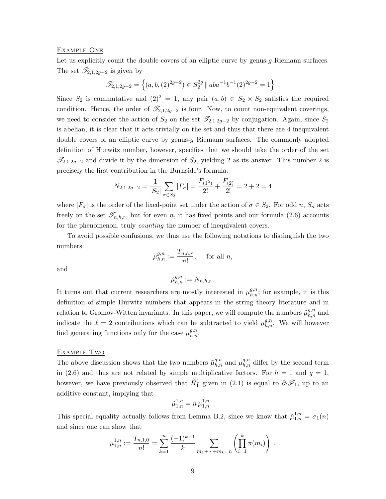#### Example One

Let us explicitly count the double covers of an elliptic curve by genus-q Riemann surfaces. The set  $\mathscr{T}_{2,1,2g-2}$  is given by

$$
\mathscr{T}_{2,1,2g-2} = \left\{(a,b,(2)^{2g-2}) \in S_2^{2g} \mid a b a^{-1} b^{-1} (2)^{2g-2} = 1\right\} .
$$

Since  $S_2$  is commutative and  $(2)^2 = 1$ , any pair  $(a, b) \in S_2 \times S_2$  satisfies the required condition. Hence, the order of  $\mathscr{T}_{2,1,2g-2}$  is four. Now, to count non-equivalent coverings, we need to consider the action of  $S_2$  on the set  $\mathcal{T}_{2,1,2g-2}$  by conjugation. Again, since  $S_2$ is abelian, it is clear that it acts trivially on the set and thus that there are 4 inequivalent double covers of an elliptic curve by genus-g Riemann surfaces. The commonly adopted definition of Hurwitz number, however, specifies that we should take the order of the set  $\mathscr{T}_{2,1,2g-2}$  and divide it by the dimension of  $S_2$ , yielding 2 as its answer. This number 2 is precisely the first contribution in the Burnside's formula:

$$
N_{2,1,2g-2} = \frac{1}{|S_2|} \sum_{\sigma \in S_2} |F_{\sigma}| = \frac{F_{(1^2)}}{2!} + \frac{F_{(2)}}{2!} = 2 + 2 = 4
$$

where  $|F_{\sigma}|$  is the order of the fixed-point set under the action of  $\sigma \in S_2$ . For odd n,  $S_n$  acts freely on the set  $\mathscr{T}_{n,h,r}$ , but for even n, it has fixed points and our formula (2.6) accounts for the phenomenon, truly *counting* the number of inequivalent covers.

To avoid possible confusions, we thus use the following notations to distinguish the two numbers:

$$
\mu_{h,n}^{g,n} := \frac{T_{n,h,r}}{n!}, \quad \text{ for all } n,
$$

and

$$
\tilde{\mu}_{h,n}^{g,n}:=N_{n,h,r}\,.
$$

It turns out that current researchers are mostly interested in  $\mu_{h,n}^{g,n}$ ; for example, it is this definition of simple Hurwitz numbers that appears in the string theory literature and in relation to Gromov-Witten invariants. In this paper, we will compute the numbers  $\tilde{\mu}_{h,n}^{g,n}$  and indicate the  $\ell = 2$  contributions which can be subtracted to yield  $\mu_{h,n}^{g,n}$ . We will however find generating functions only for the case  $\mu_{h,n}^{g,n}$ .

#### EXAMPLE TWO

The above discussion shows that the two numbers  $\tilde{\mu}_{h,n}^{g,n}$  and  $\mu_{h,n}^{g,n}$  differ by the second term in (2.6) and thus are not related by simple multiplicative factors. For  $h = 1$  and  $g = 1$ , however, we have previously observed that  $\tilde{H}_1^1$  given in (2.1) is equal to  $\partial_t \mathscr{F}_1$ , up to an additive constant, implying that

$$
\tilde{\mu}_{1,n}^{1,n} = n \, \mu_{1,n}^{1,n} \; .
$$

This special equality actually follows from Lemma B.2, since we know that  $\tilde{\mu}_{1,n}^{1,n} = \sigma_1(n)$ and since one can show that

$$
\mu_{1,n}^{1,n} := \frac{T_{n,1,0}}{n!} = \sum_{k=1}^n \frac{(-1)^{k+1}}{k} \sum_{m_1 + \dots + m_k = n} \left( \prod_{i=1}^k \pi(m_i) \right) .
$$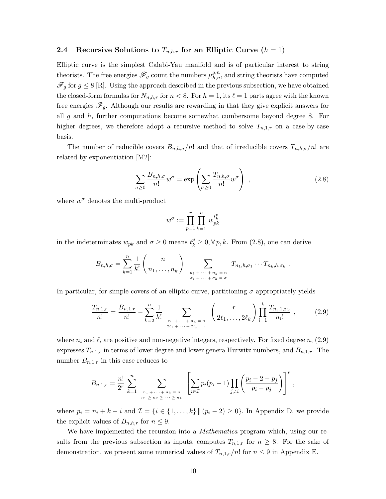#### 2.4 Recursive Solutions to  $T_{n,h,r}$  for an Elliptic Curve  $(h = 1)$

Elliptic curve is the simplest Calabi-Yau manifold and is of particular interest to string theorists. The free energies  $\mathscr{F}_g$  count the numbers  $\mu_{h,n}^{g,n}$ , and string theorists have computed  $\mathscr{F}_q$  for  $g \leq 8$  [R]. Using the approach described in the previous subsection, we have obtained the closed-form formulas for  $N_{n,h,r}$  for  $n < 8$ . For  $h = 1$ , its  $\ell = 1$  parts agree with the known free energies  $\mathscr{F}_q$ . Although our results are rewarding in that they give explicit answers for all  $g$  and  $h$ , further computations become somewhat cumbersome beyond degree 8. For higher degrees, we therefore adopt a recursive method to solve  $T_{n,1,r}$  on a case-by-case basis.

The number of reducible covers  $B_{n,h,\sigma}/n!$  and that of irreducible covers  $T_{n,h,\sigma}/n!$  are related by exponentiation [M2]:

$$
\sum_{\sigma \ge 0} \frac{B_{n,h,\sigma}}{n!} w^{\sigma} = \exp\left(\sum_{\sigma \ge 0} \frac{T_{n,h,\sigma}}{n!} w^{\sigma}\right) ,
$$
 (2.8)

where  $w^{\sigma}$  denotes the multi-product

$$
w^\sigma:=\prod_{p=1}^r\prod_{k=1}^n\,w_{pk}^{t_k^p}
$$

in the indeterminates  $w_{pk}$  and  $\sigma \geq 0$  means  $t_k^p \geq 0, \forall p, k$ . From (2.8), one can derive

$$
B_{n,h,\sigma} = \sum_{k=1}^n \frac{1}{k!} \binom{n}{n_1,\ldots,n_k} \sum_{\substack{n_1+\cdots+n_k=n \ \sigma_1+\cdots+\sigma_k=\sigma}} T_{n_1,h,\sigma_1}\cdots T_{n_k,h,\sigma_k}.
$$

In particular, for simple covers of an elliptic curve, partitioning  $\sigma$  appropriately yields

$$
\frac{T_{n,1,r}}{n!} = \frac{B_{n,1,r}}{n!} - \sum_{k=2}^{n} \frac{1}{k!} \sum_{\substack{n_1 + \dots + n_k = n \\ 2\ell_1 + \dots + 2\ell_k = r}} \binom{r}{2\ell_1, \dots, 2\ell_k} \prod_{i=1}^{k} \frac{T_{n_i,1,2\ell_i}}{n_i!},
$$
\n(2.9)

where  $n_i$  and  $\ell_i$  are positive and non-negative integers, respectively. For fixed degree  $n$ , (2.9) expresses  $T_{n,1,r}$  in terms of lower degree and lower genera Hurwitz numbers, and  $B_{n,1,r}$ . The number  $B_{n,1,r}$  in this case reduces to

$$
B_{n,1,r} = \frac{n!}{2^r} \sum_{k=1}^n \sum_{\substack{n_1 + \dots + n_k = n \\ n_1 \ge n_2 \ge \dots \ge n_k}} \left[ \sum_{i \in \mathcal{I}} p_i (p_i - 1) \prod_{j \ne i} \left( \frac{p_i - 2 - p_j}{p_i - p_j} \right) \right]^r,
$$

where  $p_i = n_i + k - i$  and  $\mathcal{I} = \{i \in \{1, ..., k\} \mid (p_i - 2) \geq 0\}$ . In Appendix D, we provide the explicit values of  $B_{n,h,r}$  for  $n \leq 9$ .

We have implemented the recursion into a *Mathematica* program which, using our results from the previous subsection as inputs, computes  $T_{n,1,r}$  for  $n \geq 8$ . For the sake of demonstration, we present some numerical values of  $T_{n,1,r}/n!$  for  $n \leq 9$  in Appendix E.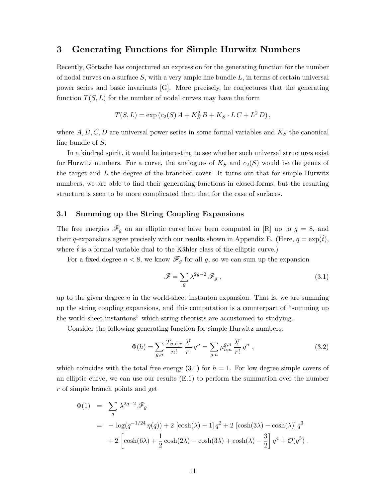### 3 Generating Functions for Simple Hurwitz Numbers

Recently, Göttsche has conjectured an expression for the generating function for the number of nodal curves on a surface  $S$ , with a very ample line bundle  $L$ , in terms of certain universal power series and basic invariants [G]. More precisely, he conjectures that the generating function  $T(S, L)$  for the number of nodal curves may have the form

$$
T(S, L) = \exp (c_2(S) A + K_S^2 B + K_S \cdot LC + L^2 D),
$$

where  $A, B, C, D$  are universal power series in some formal variables and  $K_S$  the canonical line bundle of S.

In a kindred spirit, it would be interesting to see whether such universal structures exist for Hurwitz numbers. For a curve, the analogues of  $K_S$  and  $c_2(S)$  would be the genus of the target and  $L$  the degree of the branched cover. It turns out that for simple Hurwitz numbers, we are able to find their generating functions in closed-forms, but the resulting structure is seen to be more complicated than that for the case of surfaces.

#### 3.1 Summing up the String Coupling Expansions

The free energies  $\mathscr{F}_g$  on an elliptic curve have been computed in [R] up to  $g = 8$ , and their q-expansions agree precisely with our results shown in Appendix E. (Here,  $q = \exp(t)$ , where  $\dot{t}$  is a formal variable dual to the Kähler class of the elliptic curve.)

For a fixed degree  $n < 8$ , we know  $\mathscr{F}_q$  for all g, so we can sum up the expansion

$$
\mathcal{F} = \sum_{g} \lambda^{2g-2} \mathcal{F}_g , \qquad (3.1)
$$

up to the given degree  $n$  in the world-sheet instanton expansion. That is, we are summing up the string coupling expansions, and this computation is a counterpart of "summing up the world-sheet instantons" which string theorists are accustomed to studying.

Consider the following generating function for simple Hurwitz numbers:

$$
\Phi(h) = \sum_{g,n} \frac{T_{n,h,r}}{n!} \frac{\lambda^r}{r!} q^n = \sum_{g,n} \mu_{h,n}^{g,n} \frac{\lambda^r}{r!} q^n , \qquad (3.2)
$$

which coincides with the total free energy  $(3.1)$  for  $h = 1$ . For low degree simple covers of an elliptic curve, we can use our results (E.1) to perform the summation over the number r of simple branch points and get

$$
\Phi(1) = \sum_{g} \lambda^{2g-2} \mathscr{F}_{g}
$$
  
=  $-\log(q^{-1/24} \eta(q)) + 2 \left[ \cosh(\lambda) - 1 \right] q^{2} + 2 \left[ \cosh(3\lambda) - \cosh(\lambda) \right] q^{3}$   
+  $2 \left[ \cosh(6\lambda) + \frac{1}{2} \cosh(2\lambda) - \cosh(3\lambda) + \cosh(\lambda) - \frac{3}{2} \right] q^{4} + \mathcal{O}(q^{5}).$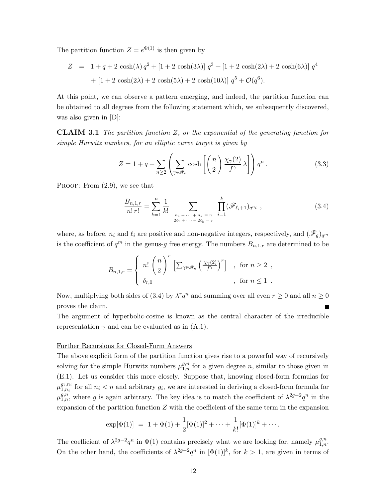The partition function  $Z = e^{\Phi(1)}$  is then given by

$$
Z = 1 + q + 2 \cosh(\lambda) q^{2} + [1 + 2 \cosh(3\lambda)] q^{3} + [1 + 2 \cosh(2\lambda) + 2 \cosh(6\lambda)] q^{4}
$$

$$
+ [1 + 2 \cosh(2\lambda) + 2 \cosh(5\lambda) + 2 \cosh(10\lambda)] q^{5} + \mathcal{O}(q^{6}).
$$

At this point, we can observe a pattern emerging, and indeed, the partition function can be obtained to all degrees from the following statement which, we subsequently discovered, was also given in [D]:

**CLAIM 3.1** The partition function  $Z$ , or the exponential of the generating function for simple Hurwitz numbers, for an elliptic curve target is given by

$$
Z = 1 + q + \sum_{n \ge 2} \left( \sum_{\gamma \in \mathcal{R}_n} \cosh\left[ \binom{n}{2} \frac{\chi_{\gamma}(2)}{f^{\gamma}} \lambda \right] \right) q^n. \tag{3.3}
$$

PROOF: From  $(2.9)$ , we see that

$$
\frac{B_{n,1,r}}{n! \, r!} = \sum_{k=1}^{n} \frac{1}{k!} \sum_{\substack{n_1 + \dots + n_k = n \\ 2\ell_1 + \dots + 2\ell_k = r}} \prod_{i=1}^{k} (\mathscr{F}_{\ell_i+1})_{q^{n_i}}, \tag{3.4}
$$

where, as before,  $n_i$  and  $\ell_i$  are positive and non-negative integers, respectively, and  $(\mathscr{F}_q)_{q^m}$ is the coefficient of  $q^m$  in the genus-g free energy. The numbers  $B_{n,1,r}$  are determined to be

$$
B_{n,1,r} = \begin{cases} n! \binom{n}{2}^r \left[ \sum_{\gamma \in \mathscr{R}_n} \left( \frac{\chi_{\gamma}(2)}{f^{\gamma}} \right)^r \right] & , \text{ for } n \ge 2 ,\\ \delta_{r,0} & , \text{ for } n \le 1 . \end{cases}
$$

Now, multiplying both sides of (3.4) by  $\lambda^r q^n$  and summing over all even  $r \geq 0$  and all  $n \geq 0$ proves the claim.

The argument of hyperbolic-cosine is known as the central character of the irreducible representation  $\gamma$  and can be evaluated as in  $(A.1)$ .

#### Further Recursions for Closed-Form Answers

The above explicit form of the partition function gives rise to a powerful way of recursively solving for the simple Hurwitz numbers  $\mu_{1,n}^{g,n}$  for a given degree n, similar to those given in (E.1). Let us consider this more closely. Suppose that, knowing closed-form formulas for  $\mu^{g_i,n_i}_{1,n_i}$  $a_{i,n_i}^{g_i,n_i}$  for all  $n_i < n$  and arbitrary  $g_i$ , we are interested in deriving a closed-form formula for  $\mu_{1,n}^{g,n}$ , where g is again arbitrary. The key idea is to match the coefficient of  $\lambda^{2g-2}q^n$  in the expansion of the partition function  $Z$  with the coefficient of the same term in the expansion

$$
\exp[\Phi(1)] = 1 + \Phi(1) + \frac{1}{2}[\Phi(1)]^2 + \cdots + \frac{1}{k!}[\Phi(1)]^k + \cdots
$$

The coefficient of  $\lambda^{2g-2}q^n$  in  $\Phi(1)$  contains precisely what we are looking for, namely  $\mu_{1,n}^{g,n}$ . On the other hand, the coefficients of  $\lambda^{2g-2}q^n$  in  $[\Phi(1)]^k$ , for  $k>1$ , are given in terms of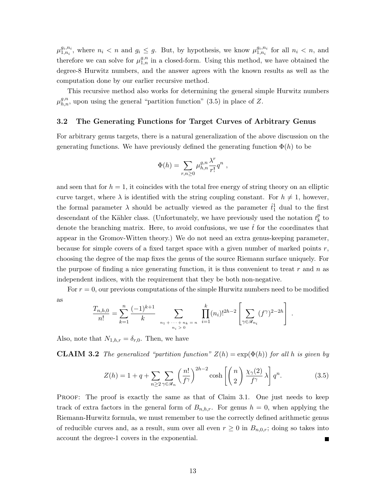$\mu^{g_i,n_i}_{1,n_i}$  $g_i, n_i$ , where  $n_i < n$  and  $g_i \leq g$ . But, by hypothesis, we know  $\mu_{1,n_i}^{g_i,n_i}$  $\sum_{1,n_i}^{g_i,n_i}$  for all  $n_i < n$ , and therefore we can solve for  $\mu_{1,n}^{g,n}$  in a closed-form. Using this method, we have obtained the degree-8 Hurwitz numbers, and the answer agrees with the known results as well as the computation done by our earlier recursive method.

This recursive method also works for determining the general simple Hurwitz numbers  $\mu_{h,n}^{g,n}$ , upon using the general "partition function" (3.5) in place of Z.

#### 3.2 The Generating Functions for Target Curves of Arbitrary Genus

For arbitrary genus targets, there is a natural generalization of the above discussion on the generating functions. We have previously defined the generating function  $\Phi(h)$  to be

$$
\Phi(h) = \sum_{r,n\geq 0} \mu_{h,n}^{g,n} \frac{\lambda^r}{r!} q^n ,
$$

and seen that for  $h = 1$ , it coincides with the total free energy of string theory on an elliptic curve target, where  $\lambda$  is identified with the string coupling constant. For  $h \neq 1$ , however, the formal parameter  $\lambda$  should be actually viewed as the parameter  $\hat{t}_1^1$  dual to the first descendant of the Kähler class. (Unfortunately, we have previously used the notation  $t_k^p$  $\frac{p}{k}$  to denote the branching matrix. Here, to avoid confusions, we use  $\hat{t}$  for the coordinates that appear in the Gromov-Witten theory.) We do not need an extra genus-keeping parameter, because for simple covers of a fixed target space with a given number of marked points  $r$ , choosing the degree of the map fixes the genus of the source Riemann surface uniquely. For the purpose of finding a nice generating function, it is thus convenient to treat  $r$  and  $n$  as independent indices, with the requirement that they be both non-negative.

For  $r = 0$ , our previous computations of the simple Hurwitz numbers need to be modified as

$$
\frac{T_{n,h,0}}{n!} = \sum_{k=1}^n \frac{(-1)^{k+1}}{k} \sum_{\substack{n_1 + \dots + n_k = n \\ n_i > 0}} \prod_{i=1}^k (n_i)!^{2h-2} \left[ \sum_{\gamma \in \mathscr{R}_{n_i}} (f^{\gamma})^{2-2h} \right].
$$

Also, note that  $N_{1,h,r} = \delta_{r,0}$ . Then, we have

**CLAIM 3.2** The generalized "partition function"  $Z(h) = \exp(\Phi(h))$  for all h is given by

$$
Z(h) = 1 + q + \sum_{n \ge 2} \sum_{\gamma \in \mathcal{R}_n} \left(\frac{n!}{f^{\gamma}}\right)^{2h-2} \cosh\left[\left(\frac{n}{2}\right) \frac{\chi_{\gamma}(2)}{f^{\gamma}} \lambda\right] q^n. \tag{3.5}
$$

PROOF: The proof is exactly the same as that of Claim 3.1. One just needs to keep track of extra factors in the general form of  $B_{n,h,r}$ . For genus  $h = 0$ , when applying the Riemann-Hurwitz formula, we must remember to use the correctly defined arithmetic genus of reducible curves and, as a result, sum over all even  $r \geq 0$  in  $B_{n,0,r}$ ; doing so takes into account the degree-1 covers in the exponential.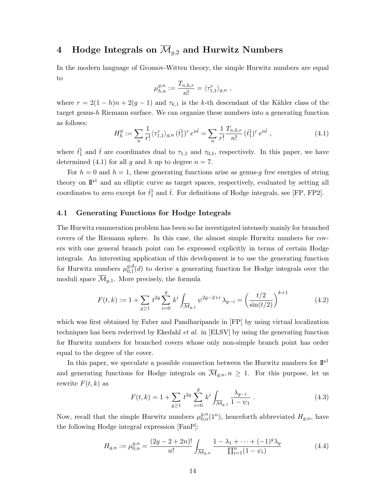## 4 Hodge Integrals on  $\overline{\mathcal{M}}_{q,2}$  and Hurwitz Numbers

In the modern language of Gromov-Witten theory, the simple Hurwitz numbers are equal to

$$
\mu_{h,n}^{g,n} := \frac{T_{n,h,r}}{n!} = \langle \tau_{1,1}^r \rangle_{g,n} ,
$$

where  $r = 2(1-h)n + 2(g-1)$  and  $\tau_{k,1}$  is the k-th descendant of the Kähler class of the target genus- $h$  Riemann surface. We can organize these numbers into a generating function as follows:

$$
H_h^g := \sum_n \frac{1}{r!} \langle \tau_{1,1}^r \rangle_{g,n} (\hat{t}_1^1)^r e^{n\hat{t}} = \sum_n \frac{1}{r!} \frac{T_{n,h,r}}{n!} (\hat{t}_1^1)^r e^{n\hat{t}}, \qquad (4.1)
$$

where  $\hat{t}_1^1$  and  $\hat{t}$  are coordinates dual to  $\tau_{1,1}$  and  $\tau_{0,1}$ , respectively. In this paper, we have determined (4.1) for all g and h up to degree  $n = 7$ .

For  $h = 0$  and  $h = 1$ , these generating functions arise as genus-g free energies of string theory on  $\mathbb{P}^1$  and an elliptic curve as target spaces, respectively, evaluated by setting all coordinates to zero except for  $\hat{t}_1^1$  and  $\hat{t}$ . For definitions of Hodge integrals, see [FP, FP2].

#### 4.1 Generating Functions for Hodge Integrals

The Hurwitz enumeration problem has been so far investigated intensely mainly for branched covers of the Riemann sphere. In this case, the almost simple Hurwitz numbers for covers with one general branch point can be expressed explicitly in terms of certain Hodge integrals. An interesting application of this development is to use the generating function for Hurwitz numbers  $\mu_{0,1}^{g,d}$  $_{0,1}^{g,a}(d)$  to derive a generating function for Hodge integrals over the moduli space  $\overline{\mathcal{M}}_{q,1}$ . More precisely, the formula

$$
F(t,k) := 1 + \sum_{g \ge 1} t^{2g} \sum_{i=0}^{g} k^i \int_{\overline{\mathcal{M}}_{g,1}} \psi^{2g-2+i} \lambda_{g-i} = \left(\frac{t/2}{\sin(t/2)}\right)^{k+1} \tag{4.2}
$$

which was first obtained by Faber and Pandharipande in [FP] by using virtual localization techniques has been rederived by Ekedahl et al. in [ELSV] by using the generating function for Hurwitz numbers for branched covers whose only non-simple branch point has order equal to the degree of the cover.

In this paper, we speculate a possible connection between the Hurwitz numbers for  $\mathbb{P}^1$ and generating functions for Hodge integrals on  $\overline{\mathcal{M}}_{g,n}$ ,  $n \geq 1$ . For this purpose, let us rewrite  $F(t, k)$  as

$$
F(t,k) = 1 + \sum_{g \ge 1} t^{2g} \sum_{i=0}^{g} k^i \int_{\overline{\mathcal{M}}_{g,1}} \frac{\lambda_{g-i}}{1 - \psi_1} . \tag{4.3}
$$

Now, recall that the simple Hurwitz numbers  $\mu_{0,n}^{g,n}(1^n)$ , henceforth abbreviated  $H_{g,n}$ , have the following Hodge integral expression [FanP]:

$$
H_{g,n} := \mu_{0,n}^{g,n} = \frac{(2g-2+2n)!}{n!} \int_{\overline{\mathcal{M}}_{g,n}} \frac{1 - \lambda_1 + \dots + (-1)^g \lambda_g}{\prod_{i=1}^n (1 - \psi_i)} \tag{4.4}
$$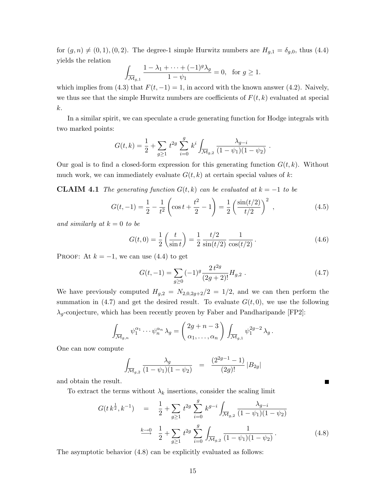for  $(g, n) \neq (0, 1), (0, 2)$ . The degree-1 simple Hurwitz numbers are  $H_{g,1} = \delta_{g,0}$ , thus (4.4) yields the relation

$$
\int_{\overline{\mathcal{M}}_{g,1}} \frac{1 - \lambda_1 + \dots + (-1)^g \lambda_g}{1 - \psi_1} = 0, \text{ for } g \ge 1.
$$

which implies from (4.3) that  $F(t, -1) = 1$ , in accord with the known answer (4.2). Naively, we thus see that the simple Hurwitz numbers are coefficients of  $F(t, k)$  evaluated at special k.

In a similar spirit, we can speculate a crude generating function for Hodge integrals with two marked points:

$$
G(t,k) = \frac{1}{2} + \sum_{g \ge 1} t^{2g} \sum_{i=0}^{g} k^i \int_{\overline{\mathcal{M}}_{g,2}} \frac{\lambda_{g-i}}{(1 - \psi_1)(1 - \psi_2)}.
$$

Our goal is to find a closed-form expression for this generating function  $G(t, k)$ . Without much work, we can immediately evaluate  $G(t, k)$  at certain special values of k:

**CLAIM 4.1** The generating function  $G(t, k)$  can be evaluated at  $k = -1$  to be

$$
G(t, -1) = \frac{1}{2} - \frac{1}{t^2} \left( \cos t + \frac{t^2}{2} - 1 \right) = \frac{1}{2} \left( \frac{\sin(t/2)}{t/2} \right)^2 , \qquad (4.5)
$$

and similarly at  $k = 0$  to be

$$
G(t,0) = \frac{1}{2} \left( \frac{t}{\sin t} \right) = \frac{1}{2} \frac{t/2}{\sin(t/2)} \frac{1}{\cos(t/2)}.
$$
 (4.6)

PROOF: At  $k = -1$ , we can use (4.4) to get

$$
G(t, -1) = \sum_{g \ge 0} (-1)^g \frac{2 t^{2g}}{(2g+2)!} H_{g,2} .
$$
 (4.7)

П

We have previously computed  $H_{g,2} = N_{2,0,2g+2}/2 = 1/2$ , and we can then perform the summation in (4.7) and get the desired result. To evaluate  $G(t, 0)$ , we use the following  $\lambda_q$ -conjecture, which has been recently proven by Faber and Pandharipande [FP2]:

$$
\int_{\overline{\mathcal{M}}_{g,n}} \psi_1^{\alpha_1} \cdots \psi_n^{\alpha_n} \lambda_g = \begin{pmatrix} 2g+n-3 \\ \alpha_1, \dots, \alpha_n \end{pmatrix} \int_{\overline{\mathcal{M}}_{g,1}} \psi_1^{2g-2} \lambda_g.
$$

One can now compute

$$
\int_{\overline{\mathcal{M}}_{g,2}} \frac{\lambda_g}{(1-\psi_1)(1-\psi_2)} = \frac{(2^{2g-1}-1)}{(2g)!} |B_{2g}|
$$

and obtain the result.

To extract the terms without  $\lambda_k$  insertions, consider the scaling limit

$$
G(t k^{\frac{1}{2}}, k^{-1}) = \frac{1}{2} + \sum_{g \ge 1} t^{2g} \sum_{i=0}^{g} k^{g-i} \int_{\overline{\mathcal{M}}_{g,2}} \frac{\lambda_{g-i}}{(1 - \psi_1)(1 - \psi_2)}
$$
  

$$
\xrightarrow{k \to 0} \frac{1}{2} + \sum_{g \ge 1} t^{2g} \sum_{i=0}^{g} \int_{\overline{\mathcal{M}}_{g,2}} \frac{1}{(1 - \psi_1)(1 - \psi_2)}.
$$
 (4.8)

The asymptotic behavior (4.8) can be explicitly evaluated as follows: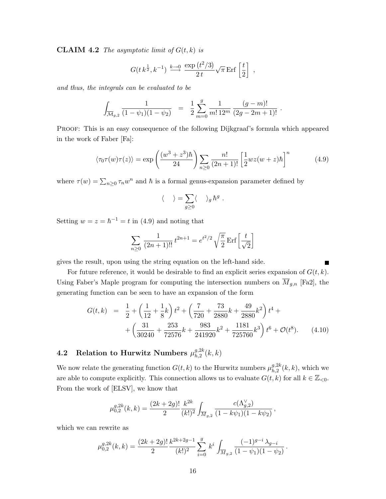**CLAIM 4.2** The asymptotic limit of  $G(t, k)$  is

$$
G(t k^{\frac{1}{2}}, k^{-1}) \xrightarrow{k \to 0} \frac{\exp(t^2/3)}{2 t} \sqrt{\pi} \operatorname{Erf} \left[\frac{t}{2}\right] ,
$$

and thus, the integrals can be evaluated to be

$$
\int_{\overline{\mathcal{M}}_{g,2}} \frac{1}{(1-\psi_1)(1-\psi_2)} = \frac{1}{2} \sum_{m=0}^{g} \frac{1}{m! \, 12^m} \frac{(g-m)!}{(2g-2m+1)!} .
$$

Proof: This is an easy consequence of the following Dijkgraaf's formula which appeared in the work of Faber [Fa]:

$$
\langle \tau_0 \tau(w) \tau(z) \rangle = \exp\left(\frac{(w^3 + z^3)\hbar}{24}\right) \sum_{n \ge 0} \frac{n!}{(2n+1)!} \left[\frac{1}{2} wz(w+z)\hbar\right]^n \tag{4.9}
$$

where  $\tau(w) = \sum_{n\geq 0} \tau_n w^n$  and  $\hbar$  is a formal genus-expansion parameter defined by

$$
\langle \quad \rangle = \sum_{g \geq 0} \langle \quad \rangle_g \, \hbar^g \; .
$$

Setting  $w = z = \hbar^{-1} = t$  in (4.9) and noting that

$$
\sum_{n\geq 0} \frac{1}{(2n+1)!!} t^{2n+1} = e^{t^2/2} \sqrt{\frac{\pi}{2}} \operatorname{Erf} \left[ \frac{t}{\sqrt{2}} \right]
$$

gives the result, upon using the string equation on the left-hand side.

For future reference, it would be desirable to find an explicit series expansion of  $G(t, k)$ . Using Faber's Maple program for computing the intersection numbers on  $\overline{M}_{g,n}$  [Fa2], the generating function can be seen to have an expansion of the form

$$
G(t,k) = \frac{1}{2} + \left(\frac{1}{12} + \frac{1}{8}k\right)t^2 + \left(\frac{7}{720} + \frac{73}{2880}k + \frac{49}{2880}k^2\right)t^4 + \left(\frac{31}{30240} + \frac{253}{72576}k + \frac{983}{241920}k^2 + \frac{1181}{725760}k^3\right)t^6 + \mathcal{O}(t^8). \tag{4.10}
$$

#### 4.2 Relation to Hurwitz Numbers  $\mu_{h,2}^{g,2k}$  $\binom{g,2k}{h,2}(k,k)$

We now relate the generating function  $G(t, k)$  to the Hurwitz numbers  $\mu_{h, 2}^{g, 2k}$  $h^{g,\text{2k}}_{h,2}(k,k)$ , which we are able to compute explicitly. This connection allows us to evaluate  $G(t, k)$  for all  $k \in \mathbb{Z}_{\leq 0}$ . From the work of [ELSV], we know that

$$
\mu_{0,2}^{g,2k}(k,k) = \frac{(2k+2g)!}{2} \frac{k^{2k}}{(k!)^2} \int_{\overline{M}_{g,2}} \frac{c(\Lambda_{g,2}^{\vee})}{(1-k\psi_1)(1-k\psi_2)},
$$

which we can rewrite as

$$
\mu_{0,2}^{g,2k}(k,k) = \frac{(2k+2g)!}{2} \frac{k^{2k+2g-1}}{(k!)^2} \sum_{i=0}^g k^i \int_{\overline{M}_{g,2}} \frac{(-1)^{g-i} \lambda_{g-i}}{(1-\psi_1)(1-\psi_2)}.
$$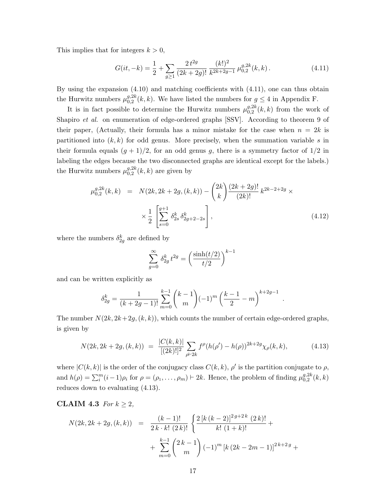This implies that for integers  $k > 0$ ,

$$
G(it, -k) = \frac{1}{2} + \sum_{g \ge 1} \frac{2 t^{2g}}{(2k+2g)!} \frac{(k!)^2}{k^{2k+2g-1}} \mu_{0,2}^{g,2k}(k, k).
$$
 (4.11)

By using the expansion (4.10) and matching coefficients with (4.11), one can thus obtain the Hurwitz numbers  $\mu_{0,2}^{g,2k}$  $_{0,2}^{g,2k}(k,k)$ . We have listed the numbers for  $g \leq 4$  in Appendix F.

It is in fact possible to determine the Hurwitz numbers  $\mu_{0,2}^{g,2k}$  $_{0,2}^{g,2\kappa}(k,k)$  from the work of Shapiro et al. on enumeration of edge-ordered graphs [SSV]. According to theorem 9 of their paper, (Actually, their formula has a minor mistake for the case when  $n = 2k$  is partitioned into  $(k, k)$  for odd genus. More precisely, when the summation variable s in their formula equals  $(g + 1)/2$ , for an odd genus g, there is a symmetry factor of  $1/2$  in labeling the edges because the two disconnected graphs are identical except for the labels.) the Hurwitz numbers  $\mu_{0,2}^{g,2k}$  $_{0,2}^{g,\text{2k}}(k,k)$  are given by

$$
\mu_{0,2}^{g,2k}(k,k) = N(2k, 2k + 2g, (k,k)) - {2k \choose k} \frac{(2k+2g)!}{(2k)!} k^{2k-2+2g} \times \times \frac{1}{2} \left[ \sum_{s=0}^{g+1} \delta_{2s}^k \delta_{2g+2-2s}^k \right],
$$
\n(4.12)

where the numbers  $\delta_{2g}^k$  are defined by

$$
\sum_{g=0}^{\infty} \delta_{2g}^k t^{2g} = \left(\frac{\sinh(t/2)}{t/2}\right)^{k-1}
$$

and can be written explicitly as

$$
\delta_{2g}^k = \frac{1}{(k+2g-1)!} \sum_{m=0}^{k-1} {k-1 \choose m} (-1)^m \left(\frac{k-1}{2} - m\right)^{k+2g-1}
$$

The number  $N(2k, 2k+2g, (k, k))$ , which counts the number of certain edge-ordered graphs, is given by

$$
N(2k, 2k + 2g, (k, k)) = \frac{|C(k, k)|}{[(2k)!]^2} \sum_{\rho \vdash 2k} f^{\rho}(h(\rho') - h(\rho))^{2k + 2g} \chi_{\rho}(k, k), \tag{4.13}
$$

.

where  $|C(k, k)|$  is the order of the conjugacy class  $C(k, k)$ ,  $\rho'$  is the partition conjugate to  $\rho$ , and  $h(\rho) = \sum_{i=1}^{m} (i-1)\rho_i$  for  $\rho = (\rho_1, \ldots, \rho_m) \vdash 2k$ . Hence, the problem of finding  $\mu_{0,2}^{g,2k}$  $_{0,2}^{g,z\kappa}(k,k)$ reduces down to evaluating (4.13).

### CLAIM 4.3 For  $k \geq 2$ ,

$$
N(2k, 2k + 2g, (k, k)) = \frac{(k-1)!}{2k \cdot k! (2k)!} \left\{ \frac{2 [k (k-2)]^{2g+2k} (2k)!}{k! (1+k)!} + \sum_{m=0}^{k-1} {2k-1 \choose m} (-1)^m [k (2k - 2m - 1)]^{2k+2g} + \right\}
$$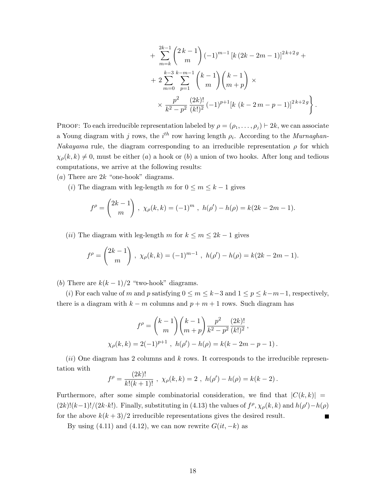$$
+\sum_{m=k}^{2k-1} {2k-1 \choose m} (-1)^{m-1} [k (2k-2m-1)]^{2k+2g} +
$$
  
+ 
$$
2\sum_{m=0}^{k-3} \sum_{p=1}^{k-m-1} {k-1 \choose m} {k-1 \choose m+p} \times
$$
  

$$
\times \frac{p^2}{k^2 - p^2} \frac{(2k)!}{(k!)^2} (-1)^{p+1} [k (k-2m-p-1)]^{2k+2g}.
$$

PROOF: To each irreducible representation labeled by  $\rho = (\rho_1, \ldots, \rho_j) \vdash 2k$ , we can associate a Young diagram with j rows, the  $i<sup>th</sup>$  row having length  $\rho_i$ . According to the *Murnaghan*-Nakayama rule, the diagram corresponding to an irreducible representation  $\rho$  for which  $\chi_{\rho}(k, k) \neq 0$ , must be either (a) a hook or (b) a union of two hooks. After long and tedious computations, we arrive at the following results:

(a) There are  $2k$  "one-hook" diagrams.

(i) The diagram with leg-length m for  $0 \le m \le k - 1$  gives

$$
f^{\rho} = \binom{2k-1}{m}, \ \chi_{\rho}(k,k) = (-1)^m, \ h(\rho') - h(\rho) = k(2k - 2m - 1).
$$

(*ii*) The diagram with leg-length m for  $k \le m \le 2k - 1$  gives

$$
f^{\rho} = \binom{2k-1}{m}, \ \chi_{\rho}(k,k) = (-1)^{m-1}, \ h(\rho') - h(\rho) = k(2k - 2m - 1).
$$

(b) There are  $k(k-1)/2$  "two-hook" diagrams.

(i) For each value of m and p satisfying  $0 \le m \le k-3$  and  $1 \le p \le k-m-1$ , respectively, there is a diagram with  $k - m$  columns and  $p + m + 1$  rows. Such diagram has

$$
f^{\rho} = {k-1 \choose m} {k-1 \choose m+p} \frac{p^2}{k^2 - p^2} \frac{(2k)!}{(k!)^2},
$$
  

$$
\chi_{\rho}(k,k) = 2(-1)^{p+1}, \ h(\rho') - h(\rho) = k(k-2m-p-1).
$$

 $(ii)$  One diagram has 2 columns and k rows. It corresponds to the irreducible representation with  $(21)$ 

$$
f^{\rho} = \frac{(2k)!}{k!(k+1)!}, \ \chi_{\rho}(k,k) = 2, \ h(\rho') - h(\rho) = k(k-2).
$$

Furthermore, after some simple combinatorial consideration, we find that  $|C(k, k)| =$  $(2k)!(k-1)!/(2k\cdot k!)$ . Finally, substituting in (4.13) the values of  $f^{\rho}, \chi_{\rho}(k, k)$  and  $h(\rho') - h(\rho)$ for the above  $k(k+3)/2$  irreducible representations gives the desired result.

By using (4.11) and (4.12), we can now rewrite  $G(it, -k)$  as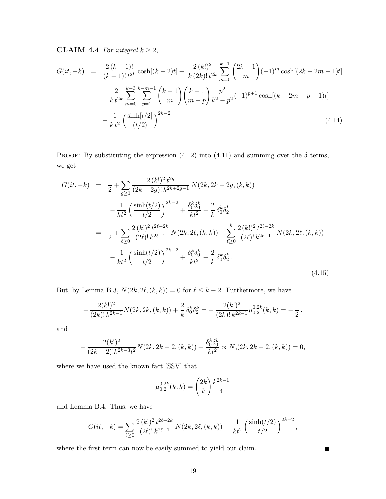**CLAIM 4.4** For integral  $k \geq 2$ ,

$$
G(it, -k) = \frac{2 (k-1)!}{(k+1)! t^{2k}} \cosh[(k-2)t] + \frac{2 (k!)^2}{k (2k)! t^{2k}} \sum_{m=0}^{k-1} {2k-1 \choose m} (-1)^m \cosh[(2k-2m-1)t] + \frac{2}{k t^{2k}} \sum_{m=0}^{k-3} \sum_{p=1}^{k-m-1} {k-1 \choose m} {k-1 \choose m+p} \frac{p^2}{k^2 - p^2} (-1)^{p+1} \cosh[(k-2m-p-1)t] - \frac{1}{k t^2} \left(\frac{\sinh[t/2]}{(t/2)}\right)^{2k-2}.
$$
 (4.14)

PROOF: By substituting the expression (4.12) into (4.11) and summing over the  $\delta$  terms, we get

$$
G(it, -k) = \frac{1}{2} + \sum_{g \ge 1} \frac{2 (k!)^2 t^{2g}}{(2k + 2g)! k^{2k + 2g - 1}} N(2k, 2k + 2g, (k, k))
$$
  

$$
- \frac{1}{kt^2} \left( \frac{\sinh(t/2)}{t/2} \right)^{2k - 2} + \frac{\delta_0^k \delta_0^k}{kt^2} + \frac{2}{k} \delta_0^k \delta_2^k
$$
  

$$
= \frac{1}{2} + \sum_{\ell \ge 0} \frac{2 (k!)^2 t^{2\ell - 2k}}{(2\ell)! k^{2\ell - 1}} N(2k, 2\ell, (k, k)) - \sum_{\ell \ge 0} \frac{2 (k!)^2 t^{2\ell - 2k}}{(2\ell)! k^{2\ell - 1}} N(2k, 2\ell, (k, k))
$$
  

$$
- \frac{1}{kt^2} \left( \frac{\sinh(t/2)}{t/2} \right)^{2k - 2} + \frac{\delta_0^k \delta_0^k}{kt^2} + \frac{2}{k} \delta_0^k \delta_2^k.
$$
  
(4.15)

But, by Lemma B.3,  $N(2k, 2\ell, (k, k)) = 0$  for  $\ell \leq k - 2$ . Furthermore, we have

$$
-\frac{2(k!)^2}{(2k)!k^{2k-1}}N(2k, 2k, (k, k)) + \frac{2}{k}\delta_0^k \delta_2^k = -\frac{2(k!)^2}{(2k)!k^{2k-1}}\mu_{0,2}^{0,2k}(k, k) = -\frac{1}{2},
$$

and

$$
-\frac{2(k!)^2}{(2k-2)!k^{2k-3}t^2}N(2k,2k-2,(k,k))+\frac{\delta_0^k\delta_0^k}{kt^2}\propto N_c(2k,2k-2,(k,k))=0,
$$

where we have used the known fact [SSV] that

$$
\mu_{0,2}^{0,2k}(k,k) = \binom{2k}{k} \frac{k^{2k-1}}{4}
$$

and Lemma B.4. Thus, we have

$$
G(it, -k) = \sum_{\ell \ge 0} \frac{2 (k!)^2 t^{2\ell - 2k}}{(2\ell)! k^{2\ell - 1}} N(2k, 2\ell, (k, k)) - \frac{1}{kt^2} \left( \frac{\sinh(t/2)}{t/2} \right)^{2k - 2},
$$

where the first term can now be easily summed to yield our claim.

 $\blacksquare$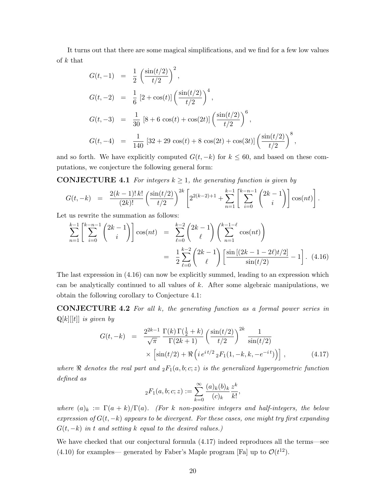It turns out that there are some magical simplifications, and we find for a few low values of  $k$  that

$$
G(t, -1) = \frac{1}{2} \left( \frac{\sin(t/2)}{t/2} \right)^2,
$$
  
\n
$$
G(t, -2) = \frac{1}{6} [2 + \cos(t)] \left( \frac{\sin(t/2)}{t/2} \right)^4,
$$
  
\n
$$
G(t, -3) = \frac{1}{30} [8 + 6 \cos(t) + \cos(2t)] \left( \frac{\sin(t/2)}{t/2} \right)^6,
$$
  
\n
$$
G(t, -4) = \frac{1}{140} [32 + 29 \cos(t) + 8 \cos(2t) + \cos(3t)] \left( \frac{\sin(t/2)}{t/2} \right)^8,
$$

and so forth. We have explicitly computed  $G(t, -k)$  for  $k \leq 60$ , and based on these computations, we conjecture the following general form:

**CONJECTURE 4.1** For integers  $k \geq 1$ , the generating function is given by

$$
G(t, -k) = \frac{2(k-1)! k!}{(2k)!} \left(\frac{\sin(t/2)}{t/2}\right)^{2k} \left[2^{2(k-2)+1} + \sum_{n=1}^{k-1} \left[\sum_{i=0}^{k-n-1} {2k-1 \choose i}\right] \cos(nt)\right].
$$

Let us rewrite the summation as follows:

$$
\sum_{n=1}^{k-1} \left[ \sum_{i=0}^{k-n-1} {2k-1 \choose i} \right] \cos(nt) = \sum_{\ell=0}^{k-2} {2k-1 \choose \ell} \left( \sum_{n=1}^{k-1-\ell} \cos(nt) \right)
$$

$$
= \frac{1}{2} \sum_{\ell=0}^{k-2} {2k-1 \choose \ell} \left[ \frac{\sin[(2k-1-2\ell)t/2]}{\sin(t/2)} - 1 \right]. \tag{4.16}
$$

The last expression in (4.16) can now be explicitly summed, leading to an expression which can be analytically continued to all values of  $k$ . After some algebraic manipulations, we obtain the following corollary to Conjecture 4.1:

CONJECTURE 4.2 For all k, the generating function as a formal power series in  $\mathbb{Q}[k][[t]]$  is given by

$$
G(t, -k) = \frac{2^{2k-1}}{\sqrt{\pi}} \frac{\Gamma(k)\Gamma(\frac{1}{2} + k)}{\Gamma(2k+1)} \left(\frac{\sin(t/2)}{t/2}\right)^{2k} \frac{1}{\sin(t/2)} \times \left[\sin(t/2) + \Re\left(i e^{it/2} {}_{2}F_{1}(1, -k, k, -e^{-it})\right)\right],
$$
\n(4.17)

where  $\Re$  denotes the real part and  ${}_2F_1(a, b; c; z)$  is the generalized hypergeometric function defined as

$$
{}_2F_1(a, b; c; z) := \sum_{k=0}^{\infty} \frac{(a)_k (b)_k}{(c)_k} \frac{z^k}{k!},
$$

where  $(a)_k := \Gamma(a+k)/\Gamma(a)$ . (For k non-positive integers and half-integers, the below expression of  $G(t, -k)$  appears to be divergent. For these cases, one might try first expanding  $G(t, -k)$  in t and setting k equal to the desired values.)

We have checked that our conjectural formula (4.17) indeed reproduces all the terms—see (4.10) for examples— generated by Faber's Maple program [Fa] up to  $\mathcal{O}(t^{12})$ .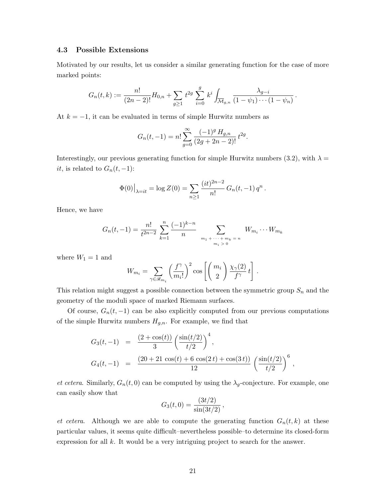#### 4.3 Possible Extensions

Motivated by our results, let us consider a similar generating function for the case of more marked points:

$$
G_n(t,k) := \frac{n!}{(2n-2)!} H_{0,n} + \sum_{g \geq 1} t^{2g} \sum_{i=0}^g k^i \int_{\overline{\mathcal{M}}_{g,n}} \frac{\lambda_{g-i}}{(1-\psi_1)\cdots(1-\psi_n)}.
$$

At  $k = -1$ , it can be evaluated in terms of simple Hurwitz numbers as

$$
G_n(t, -1) = n! \sum_{g=0}^{\infty} \frac{(-1)^g H_{g,n}}{(2g + 2n - 2)!} t^{2g}.
$$

Interestingly, our previous generating function for simple Hurwitz numbers (3.2), with  $\lambda =$ it, is related to  $G_n(t, -1)$ :

$$
\Phi(0)\big|_{\lambda=it} = \log Z(0) = \sum_{n\geq 1} \frac{(it)^{2n-2}}{n!} G_n(t, -1) q^n.
$$

Hence, we have

$$
G_n(t, -1) = \frac{n!}{t^{2n-2}} \sum_{k=1}^n \frac{(-1)^{k-n}}{n} \sum_{\substack{m_1 + \dots + m_k = n \\ m_i > 0}} W_{m_i} \cdots W_{m_k}
$$

where  $W_1 = 1$  and

$$
W_{m_i} = \sum_{\gamma \in \mathscr{R}_{m_i}} \left(\frac{f^{\gamma}}{m_i!}\right)^2 \cos\left[\left(\frac{m_i}{2}\right) \frac{\chi_{\gamma}(2)}{f^{\gamma}} t\right].
$$

This relation might suggest a possible connection between the symmetric group  $S_n$  and the geometry of the moduli space of marked Riemann surfaces.

Of course,  $G_n(t, -1)$  can be also explicitly computed from our previous computations of the simple Hurwitz numbers  $H_{g,n}$ . For example, we find that

$$
G_3(t,-1) = \frac{(2+\cos(t))}{3} \left(\frac{\sin(t/2)}{t/2}\right)^4,
$$
  
\n
$$
G_4(t,-1) = \frac{(20+21\cos(t)+6\cos(2t)+\cos(3t))}{12} \left(\frac{\sin(t/2)}{t/2}\right)^6,
$$

et cetera. Similarly,  $G_n(t,0)$  can be computed by using the  $\lambda_g$ -conjecture. For example, one can easily show that

$$
G_3(t,0) = \frac{(3t/2)}{\sin(3t/2)},
$$

et cetera. Although we are able to compute the generating function  $G_n(t, k)$  at these particular values, it seems quite difficult–nevertheless possible–to determine its closed-form expression for all  $k$ . It would be a very intriguing project to search for the answer.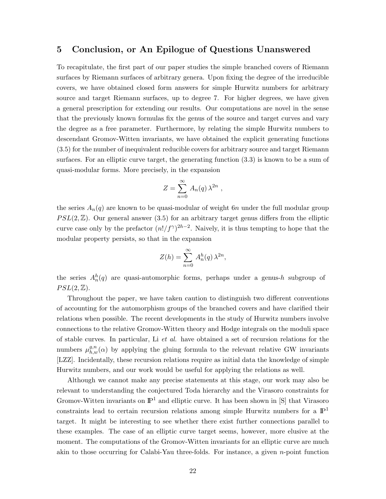### 5 Conclusion, or An Epilogue of Questions Unanswered

To recapitulate, the first part of our paper studies the simple branched covers of Riemann surfaces by Riemann surfaces of arbitrary genera. Upon fixing the degree of the irreducible covers, we have obtained closed form answers for simple Hurwitz numbers for arbitrary source and target Riemann surfaces, up to degree 7. For higher degrees, we have given a general prescription for extending our results. Our computations are novel in the sense that the previously known formulas fix the genus of the source and target curves and vary the degree as a free parameter. Furthermore, by relating the simple Hurwitz numbers to descendant Gromov-Witten invariants, we have obtained the explicit generating functions (3.5) for the number of inequivalent reducible covers for arbitrary source and target Riemann surfaces. For an elliptic curve target, the generating function (3.3) is known to be a sum of quasi-modular forms. More precisely, in the expansion

$$
Z = \sum_{n=0}^{\infty} A_n(q) \lambda^{2n} ,
$$

the series  $A_n(q)$  are known to be quasi-modular of weight 6n under the full modular group  $PSL(2,\mathbb{Z})$ . Our general answer (3.5) for an arbitrary target genus differs from the elliptic curve case only by the prefactor  $(n!/f^{\gamma})^{2h-2}$ . Naively, it is thus tempting to hope that the modular property persists, so that in the expansion

$$
Z(h) = \sum_{n=0}^{\infty} A_n^h(q) \lambda^{2n},
$$

the series  $A_n^h(q)$  are quasi-automorphic forms, perhaps under a genus-h subgroup of  $PSL(2,\mathbb{Z}).$ 

Throughout the paper, we have taken caution to distinguish two different conventions of accounting for the automorphism groups of the branched covers and have clarified their relations when possible. The recent developments in the study of Hurwitz numbers involve connections to the relative Gromov-Witten theory and Hodge integrals on the moduli space of stable curves. In particular, Li et al. have obtained a set of recursion relations for the numbers  $\mu_{h,w}^{g,n}(\alpha)$  by applying the gluing formula to the relevant relative GW invariants [LZZ]. Incidentally, these recursion relations require as initial data the knowledge of simple Hurwitz numbers, and our work would be useful for applying the relations as well.

Although we cannot make any precise statements at this stage, our work may also be relevant to understanding the conjectured Toda hierarchy and the Virasoro constraints for Gromov-Witten invariants on  $\mathbb{P}^1$  and elliptic curve. It has been shown in [S] that Virasoro constraints lead to certain recursion relations among simple Hurwitz numbers for a  $\mathbb{P}^1$ target. It might be interesting to see whether there exist further connections parallel to these examples. The case of an elliptic curve target seems, however, more elusive at the moment. The computations of the Gromov-Witten invariants for an elliptic curve are much akin to those occurring for Calabi-Yau three-folds. For instance, a given n-point function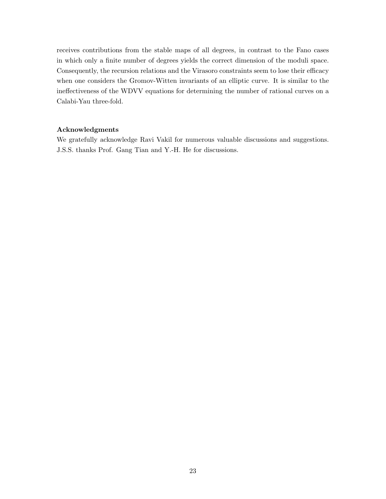receives contributions from the stable maps of all degrees, in contrast to the Fano cases in which only a finite number of degrees yields the correct dimension of the moduli space. Consequently, the recursion relations and the Virasoro constraints seem to lose their efficacy when one considers the Gromov-Witten invariants of an elliptic curve. It is similar to the ineffectiveness of the WDVV equations for determining the number of rational curves on a Calabi-Yau three-fold.

#### Acknowledgments

We gratefully acknowledge Ravi Vakil for numerous valuable discussions and suggestions. J.S.S. thanks Prof. Gang Tian and Y.-H. He for discussions.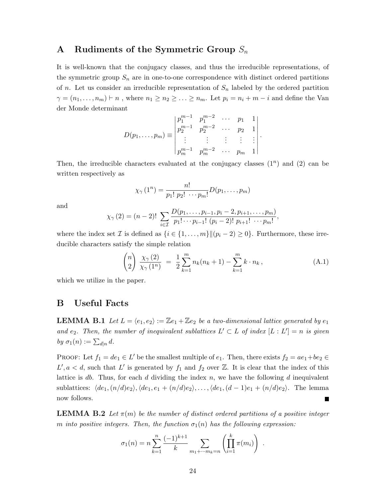### A Rudiments of the Symmetric Group  $S_n$

It is well-known that the conjugacy classes, and thus the irreducible representations, of the symmetric group  $S_n$  are in one-to-one correspondence with distinct ordered partitions of n. Let us consider an irreducible representation of  $S_n$  labeled by the ordered partition  $\gamma = (n_1, \ldots, n_m) \vdash n$ , where  $n_1 \geq n_2 \geq \ldots \geq n_m$ . Let  $p_i = n_i + m - i$  and define the Van der Monde determinant

$$
D(p_1, \ldots, p_m) \equiv \begin{vmatrix} p_1^{m-1} & p_1^{m-2} & \cdots & p_1 & 1 \\ p_2^{m-1} & p_2^{m-2} & \cdots & p_2 & 1 \\ \vdots & \vdots & \vdots & \vdots & \vdots \\ p_m^{m-1} & p_m^{m-2} & \cdots & p_m & 1 \end{vmatrix}.
$$

Then, the irreducible characters evaluated at the conjugacy classes  $(1^n)$  and  $(2)$  can be written respectively as

$$
\chi_{\gamma}(1^n) = \frac{n!}{p_1! \ p_2! \ \cdots p_m!} D(p_1, \ldots, p_m)
$$

and

$$
\chi_{\gamma}(2)=(n-2)!\sum_{i\in\mathcal{I}}\frac{D(p_1,\ldots,p_{i-1},p_i-2,p_{i+1},\ldots,p_m)}{p_1!\cdots p_{i-1}!\ (p_i-2)!\ p_{i+1}!\ \cdots p_m!},
$$

where the index set *I* is defined as  $\{i \in \{1, \ldots, m\} \|(p_i - 2) \geq 0\}$ . Furthermore, these irreducible characters satisfy the simple relation

$$
\binom{n}{2} \frac{\chi_{\gamma}(2)}{\chi_{\gamma}(1^n)} = \frac{1}{2} \sum_{k=1}^{m} n_k(n_k + 1) - \sum_{k=1}^{m} k \cdot n_k, \tag{A.1}
$$

which we utilize in the paper.

### B Useful Facts

**LEMMA B.1** Let  $L = \langle e_1, e_2 \rangle := \mathbb{Z}e_1 + \mathbb{Z}e_2$  be a two-dimensional lattice generated by  $e_1$ and e<sub>2</sub>. Then, the number of inequivalent sublattices  $L' \subset L$  of index  $[L: L'] = n$  is given by  $\sigma_1(n) := \sum_{d|n} d$ .

PROOF: Let  $f_1 = de_1 \in L'$  be the smallest multiple of  $e_1$ . Then, there exists  $f_2 = ae_1 + be_2 \in L'$  $L', a < d$ , such that  $L'$  is generated by  $f_1$  and  $f_2$  over  $\mathbb{Z}$ . It is clear that the index of this lattice is db. Thus, for each d dividing the index  $n$ , we have the following d inequivalent sublattices:  $\langle de_1,(n/d)e_2\rangle, \langle de_1, e_1 + (n/d)e_2\rangle, \ldots, \langle de_1, (d-1)e_1 + (n/d)e_2\rangle$ . The lemma now follows.  $\blacksquare$ 

**LEMMA B.2** Let  $\pi(m)$  be the number of distinct ordered partitions of a positive integer m into positive integers. Then, the function  $\sigma_1(n)$  has the following expression:

$$
\sigma_1(n) = n \sum_{k=1}^n \frac{(-1)^{k+1}}{k} \sum_{m_1 + \dots + m_k = n} \left( \prod_{i=1}^k \pi(m_i) \right) .
$$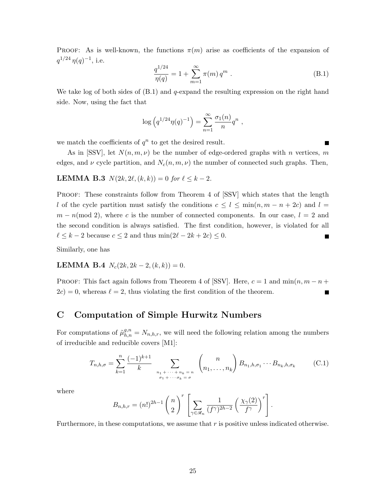PROOF: As is well-known, the functions  $\pi(m)$  arise as coefficients of the expansion of  $q^{1/24} \eta(q)^{-1}$ , i.e.

$$
\frac{q^{1/24}}{\eta(q)} = 1 + \sum_{m=1}^{\infty} \pi(m) q^m . \tag{B.1}
$$

We take log of both sides of  $(B.1)$  and q-expand the resulting expression on the right hand side. Now, using the fact that

$$
\log (q^{1/24} \eta(q)^{-1}) = \sum_{n=1}^{\infty} \frac{\sigma_1(n)}{n} q^n ,
$$

we match the coefficients of  $q^n$  to get the desired result.

As in [SSV], let  $N(n, m, \nu)$  be the number of edge-ordered graphs with n vertices, m edges, and  $\nu$  cycle partition, and  $N_c(n, m, \nu)$  the number of connected such graphs. Then,

**LEMMA B.3**  $N(2k, 2\ell, (k, k)) = 0$  for  $\ell \leq k - 2$ .

PROOF: These constraints follow from Theorem 4 of [SSV] which states that the length l of the cycle partition must satisfy the conditions  $c \leq l \leq \min(n, m - n + 2c)$  and  $l =$  $m - n \pmod{2}$ , where c is the number of connected components. In our case,  $l = 2$  and the second condition is always satisfied. The first condition, however, is violated for all  $\ell \leq k - 2$  because  $c \leq 2$  and thus  $\min(2\ell - 2k + 2c) \leq 0$ . ┓

Similarly, one has

## LEMMA B.4  $N_c(2k, 2k-2, (k, k)) = 0$ .

PROOF: This fact again follows from Theorem 4 of [SSV]. Here,  $c = 1$  and  $\min(n, m - n + 1)$  $2c$ ) = 0, whereas  $\ell = 2$ , thus violating the first condition of the theorem. П

### C Computation of Simple Hurwitz Numbers

For computations of  $\tilde{\mu}_{h,n}^{g,n} = N_{n,h,r}$ , we will need the following relation among the numbers of irreducible and reducible covers [M1]:

$$
T_{n,h,\sigma} = \sum_{k=1}^n \frac{(-1)^{k+1}}{k} \sum_{\substack{n_1 + \dots + n_k = n \\ \sigma_1 + \dots + \sigma_k = \sigma}} \binom{n}{n_1, \dots, n_k} B_{n_1,h,\sigma_1} \cdots B_{n_k,h,\sigma_k} \qquad (C.1)
$$

where

$$
B_{n,h,r} = (n!)^{2h-1} {n \choose 2}^r \left[ \sum_{\gamma \in \mathcal{R}_n} \frac{1}{(f^{\gamma})^{2h-2}} \left( \frac{\chi_{\gamma}(2)}{f^{\gamma}} \right)^r \right].
$$

Furthermore, in these computations, we assume that  $r$  is positive unless indicated otherwise.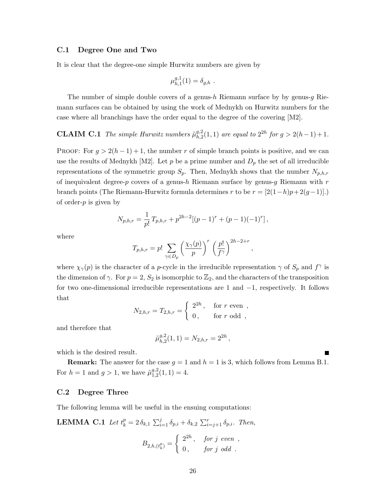#### C.1 Degree One and Two

It is clear that the degree-one simple Hurwitz numbers are given by

$$
\mu_{h,1}^{g,1}(1) = \delta_{g,h} .
$$

The number of simple double covers of a genus-h Riemann surface by by genus- $q$  Riemann surfaces can be obtained by using the work of Mednykh on Hurwitz numbers for the case where all branchings have the order equal to the degree of the covering [M2].

#### **CLAIM C.1** The simple Hurwitz numbers  $\tilde{\mu}_{h,2}^{g,2}$  $_{h,2}^{g,2}(1,1)$  are equal to  $2^{2h}$  for  $g > 2(h-1)+1$ .

PROOF: For  $g > 2(h-1)+1$ , the number r of simple branch points is positive, and we can use the results of Mednykh [M2]. Let p be a prime number and  $D_p$  the set of all irreducible representations of the symmetric group  $S_p$ . Then, Mednykh shows that the number  $N_{p,h,r}$ of inequivalent degree- $p$  covers of a genus- $h$  Riemann surface by genus- $q$  Riemann with  $r$ branch points (The Riemann-Hurwitz formula determines r to be  $r = [2(1-h)p+2(g-1)].$ of order- $p$  is given by

$$
N_{p,h,r} = \frac{1}{p!} T_{p,h,r} + p^{2h-2} [(p-1)^r + (p-1)(-1)^r],
$$

where

$$
T_{p,h,r} = p! \sum_{\gamma \in D_p} \left(\frac{\chi_{\gamma}(p)}{p}\right)^r \left(\frac{p!}{f^{\gamma}}\right)^{2h-2+r},
$$

where  $\chi_{\gamma}(p)$  is the character of a *p*-cycle in the irreducible representation  $\gamma$  of  $S_p$  and  $f^{\gamma}$  is the dimension of  $\gamma$ . For  $p = 2$ ,  $S_2$  is isomorphic to  $\mathbb{Z}_2$ , and the characters of the transposition for two one-dimensional irreducible representations are 1 and −1, respectively. It follows that

$$
N_{2,h,r} = T_{2,h,r} = \begin{cases} 2^{2h}, & \text{for } r \text{ even },\\ 0, & \text{for } r \text{ odd }, \end{cases}
$$

and therefore that

$$
\tilde{\mu}_{h,2}^{g,2}(1,1) = N_{2,h,r} = 2^{2h},
$$

which is the desired result.

**Remark:** The answer for the case  $g = 1$  and  $h = 1$  is 3, which follows from Lemma B.1. For  $h = 1$  and  $g > 1$ , we have  $\tilde{\mu}_{1,2}^{g,2}$  $_{1,2}^{g,2}(1,1)=4.$ 

#### C.2 Degree Three

The following lemma will be useful in the ensuing computations:

**LEMMA C.1** Let  $t_k^p = 2 \delta_{k,1} \sum_{i=1}^j \delta_{p,i} + \delta_{k,2} \sum_{i=j+1}^r \delta_{p,i}$ . Then,

$$
B_{2,h,(t_k^p)} = \begin{cases} 2^{2h}, & \text{for } j \text{ even },\\ 0, & \text{for } j \text{ odd } . \end{cases}
$$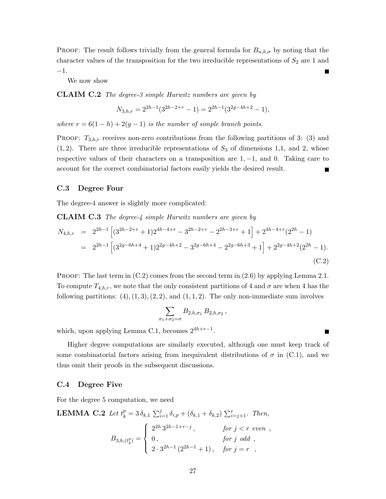**PROOF:** The result follows trivially from the general formula for  $B_{n,h,\sigma}$  by noting that the character values of the transposition for the two irreducible representations of  $S_2$  are 1 and −1.

We now show

CLAIM C.2 The degree-3 simple Hurwitz numbers are given by

$$
N_{3,h,r} = 2^{2h-1}(3^{2h-2+r} - 1) = 2^{2h-1}(3^{2g-4h+2} - 1),
$$

where  $r = 6(1-h) + 2(q-1)$  is the number of simple branch points.

PROOF:  $T_{3,h,r}$  receives non-zero contributions from the following partitions of 3: (3) and  $(1, 2)$ . There are three irreducible representations of  $S_3$  of dimensions 1,1, and 2, whose respective values of their characters on a transposition are  $1, -1$ , and 0. Taking care to account for the correct combinatorial factors easily yields the desired result.

#### C.3 Degree Four

The degree-4 answer is slightly more complicated:

CLAIM C.3 The degree-4 simple Hurwitz numbers are given by

$$
N_{4,h,r} = 2^{2h-1} \left[ (3^{2h-2+r} + 1)2^{4h-4+r} - 3^{2h-2+r} - 2^{2h-3+r} + 1 \right] + 2^{4h-4+r} (2^{2h} - 1)
$$
  
=  $2^{2h-1} \left[ (3^{2g-6h+4} + 1)2^{2g-4h+2} - 3^{2g-6h+4} - 2^{2g-6h+3} + 1 \right] + 2^{2g-4h+2} (2^{2h} - 1).$  (C.2)

PROOF: The last term in  $(C.2)$  comes from the second term in  $(2.6)$  by applying Lemma 2.1. To compute  $T_{4,h,r}$ , we note that the only consistent partitions of 4 and  $\sigma$  are when 4 has the following partitions:  $(4)$ ,  $(1, 3)$ ,  $(2, 2)$ , and  $(1, 1, 2)$ . The only non-immediate sum involves

$$
\sum_{\sigma_1+\sigma_2=\sigma} B_{2,h,\sigma_1} B_{2,h,\sigma_2},
$$

П

which, upon applying Lemma C.1, becomes  $2^{4h+r-1}$ .

Higher degree computations are similarly executed, although one must keep track of some combinatorial factors arising from inequivalent distributions of  $\sigma$  in (C.1), and we thus omit their proofs in the subsequent discussions.

#### C.4 Degree Five

For the degree 5 computation, we need

**LEMMA C.2** Let 
$$
t_k^p = 3 \delta_{k,1} \sum_{i=1}^j \delta_{i,p} + (\delta_{k,1} + \delta_{k,2}) \sum_{i=j+1}^r
$$
. Then,  
\n
$$
B_{3,h,(t_k^p)} = \begin{cases} 2^{2h} 3^{2h-1+r-j}, & \text{for } j < r \text{ even }, \\ 0, & \text{for } j \text{ odd }, \\ 2 \cdot 3^{2h-1} (2^{2h-1} + 1), & \text{for } j = r , \end{cases}
$$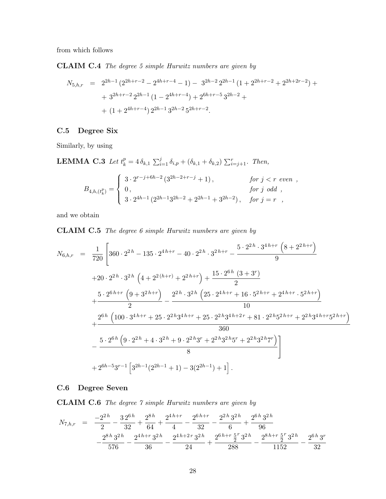from which follows

CLAIM C.4 The degree 5 simple Hurwitz numbers are given by

$$
N_{5,h,r} = 2^{2h-1} (2^{2h+r-2} - 2^{4h+r-4} - 1) - 3^{2h-2} 2^{2h-1} (1 + 2^{2h+r-2} + 2^{2h+2r-2}) +
$$
  
+  $3^{2h+r-2} 2^{2h-1} (1 - 2^{4h+r-4}) + 2^{6h+r-5} 3^{2h-2} +$   
+  $(1 + 2^{4h+r-4}) 2^{2h-1} 3^{2h-2} 5^{2h+r-2}.$ 

### C.5 Degree Six

Similarly, by using

**LEMMA C.3** Let  $t_k^p = 4 \delta_{k,1} \sum_{i=1}^j \delta_{i,p} + (\delta_{k,1} + \delta_{k,2}) \sum_{i=j+1}^r$ . Then,

$$
B_{4,h,(t_k^p)} = \begin{cases} 3 \cdot 2^{r-j+6h-2} (3^{2h-2+r-j} + 1), & \text{for } j < r \text{ even }, \\ 0, & \text{for } j \text{ odd }, \\ 3 \cdot 2^{4h-1} (2^{2h-1}3^{2h-2} + 2^{2h-1} + 3^{2h-2}), & \text{for } j = r , \end{cases}
$$

and we obtain

CLAIM C.5 The degree 6 simple Hurwitz numbers are given by

$$
N_{6,h,r} = \frac{1}{720} \left[ 360 \cdot 2^{2h} - 135 \cdot 2^{4h+r} - 40 \cdot 2^{2h} \cdot 3^{2h+r} - \frac{5 \cdot 2^{2h} \cdot 3^{4h+r} \left( 8 + 2^{2h+r} \right)}{9} \right.
$$
  
\n
$$
+ 20 \cdot 2^{2h} \cdot 3^{2h} \left( 4 + 2^{2(h+r)} + 2^{2h+r} \right) + \frac{15 \cdot 2^{6h} (3 + 3^r)}{2} + \frac{5 \cdot 2^{6h+r} \left( 9 + 3^{2h+r} \right)}{2} - \frac{2^{2h} \cdot 3^{2h} \left( 25 \cdot 2^{4h+r} + 16 \cdot 5^{2h+r} + 2^{4h+r} \cdot 5^{2h+r} \right)}{10} + \frac{2^{6h} \left( 100 \cdot 3^{4h+r} + 25 \cdot 2^{2h} 3^{4h+r} + 25 \cdot 2^{2h} 3^{4h+2r} + 81 \cdot 2^{2h} 5^{2h+r} + 2^{2h} 3^{4h+r} 5^{2h+r} \right)}{360} - \frac{5 \cdot 2^{6h} \left( 9 \cdot 2^{2h} + 4 \cdot 3^{2h} + 9 \cdot 2^{2h} 3^r + 2^{2h} 3^{2h} 5^r + 2^{2h} 3^{2h} 7^r \right)}{8} + 2^{6h-5} 3^{r-1} \left[ 3^{2h-1} (2^{2h-1} + 1) - 3 (2^{2h-1}) + 1 \right].
$$

### C.6 Degree Seven

CLAIM C.6 The degree 7 simple Hurwitz numbers are given by

$$
N_{7,h,r} = \frac{-2^{2h}}{2} - \frac{32^{6h}}{32} + \frac{2^{8h}}{64} + \frac{2^{4h+r}}{4} - \frac{2^{6h+r}}{32} - \frac{2^{2h}3^{2h}}{6} + \frac{2^{6h}3^{2h}}{96} - \frac{2^{8h}3^{2h}}{576} - \frac{2^{4h+r}3^{2h}}{36} - \frac{2^{4h+2r}3^{2h}}{24} + \frac{2^{6h+r}\frac{5}{2}^r3^{2h}}{288} - \frac{2^{8h+r}\frac{5}{2}^r3^{2h}}{1152} - \frac{2^{6h}3^r}{32}
$$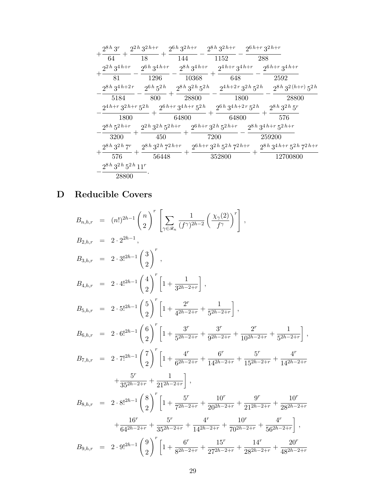| $2^{8h}3^r$              | $2^{2h} 3^{2h+r}$        | $2^{6h}3^{2h+r}$         | $2^{8h} 3^{2h+r}$                 | $2^{6h+r}3^{2h+r}$ |                                                  |  |
|--------------------------|--------------------------|--------------------------|-----------------------------------|--------------------|--------------------------------------------------|--|
| 64                       | 18                       | 144                      | 1152                              | 288                |                                                  |  |
| $2^{2h} 3^{4h+r}$        | $2^{6h}3^{4h+r}$         | $2^{8h} 3^{4h+r}$        | $2^{4h+r} 3^{4h+r}$               |                    | $2^{6h+r}3^{4h+r}$                               |  |
| 81                       | 1296                     | 10368                    | 648                               |                    | 2592                                             |  |
| $2^{8h} 3^{4h+2r}$       | $2^{6h}5^{2h}$           | $2^{8h}3^{2h}5^{2h}$     |                                   |                    | $2^{4h+2r}3^{2h}5^{2h}$ $2^{8h}3^{2(h+r)}5^{2h}$ |  |
| 5184                     | 800                      | 28800                    |                                   | 1800               | 28800                                            |  |
| $2^{4h+r}3^{2h+r}5^{2h}$ |                          | $2^{6h+r}3^{4h+r}5^{2h}$ | $2^{6h}3^{4h+2r}5^{2h}$           |                    | $2^{8h} 3^{2h} 5^r$                              |  |
| 1800                     |                          | 64800                    | 64800                             |                    | 576                                              |  |
| $2^{8h} 5^{2h+r}$        | $2^{2h} 3^{2h} 5^{2h+r}$ |                          | $2^{6h+r}3^{2h}5^{2h+r}$          |                    | $2^{8h}3^{4h+r}5^{2h+r}$                         |  |
| 3200                     | 450                      |                          | 7200                              |                    | 259200                                           |  |
| $2^{8h} 3^{2h} 7^r$      | $2^{8h} 3^{2h} 7^{2h+r}$ |                          | $2^{6h+r} 3^{2h} 5^{2h} 7^{2h+r}$ |                    | $2^{8h} 3^{4h+r} 5^{2h} 7^{2h+r}$                |  |
| 576                      | 56448                    |                          | 352800                            |                    | 12700800                                         |  |
| $2^{8h}3^{2h}5^{2h}11^r$ |                          |                          |                                   |                    |                                                  |  |
| 28800                    |                          |                          |                                   |                    |                                                  |  |

# D Reducible Covers

$$
B_{n,h,r} = (n!)^{2h-1} {n \choose 2}^r \left[ \sum_{\gamma \in \mathscr{R}_n} \frac{1}{(f^{\gamma})^{2h-2}} \left( \frac{\chi_{\gamma}(2)}{f^{\gamma}} \right)^r \right],
$$
  
\n
$$
B_{2,h,r} = 2 \cdot 2^{2h-1},
$$
  
\n
$$
B_{3,h,r} = 2 \cdot 3!^{2h-1} {3 \choose 2}^r,
$$
  
\n
$$
B_{4,h,r} = 2 \cdot 4!^{2h-1} {4 \choose 2}^r \left[ 1 + \frac{1}{3^{2h-2+r}} \right],
$$
  
\n
$$
B_{5,h,r} = 2 \cdot 5!^{2h-1} {5 \choose 2}^r \left[ 1 + \frac{2^r}{4^{2h-2+r}} + \frac{1}{5^{2h-2+r}} \right],
$$
  
\n
$$
B_{6,h,r} = 2 \cdot 6!^{2h-1} {6 \choose 2}^r \left[ 1 + \frac{3^r}{5^{2h-2+r}} + \frac{3^r}{9^{2h-2+r}} + \frac{2^r}{10^{2h-2+r}} + \frac{1}{5^{2h-2+r}} \right],
$$
  
\n
$$
B_{7,h,r} = 2 \cdot 7!^{2h-1} {7 \choose 2}^r \left[ 1 + \frac{4^r}{6^{2h-2+r}} + \frac{6^r}{14^{2h-2+r}} + \frac{5^r}{15^{2h-2+r}} + \frac{4^r}{14^{2h-2+r}} + \frac{5^r}{35^{2h-2+r}} + \frac{1}{21^{2h-2+r}} \right],
$$
  
\n
$$
B_{8,h,r} = 2 \cdot 8!^{2h-1} {8 \choose 2}^r \left[ 1 + \frac{5^r}{7^{2h-2+r}} + \frac{10^r}{20^{2h-2+r}} + \frac{9^r}{21^{2h-2+r}} + \frac{10^r}{28^{2h-2+r}} + \frac{10^r}{36^{2h-2+r}} \right],
$$
  
\n
$$
B_{9,h,r} = 2 \cdot 9!^{2h-1} {9 \choose 2}^r \left[ 1 + \frac{6^r}{8^{2h-2+r}} +
$$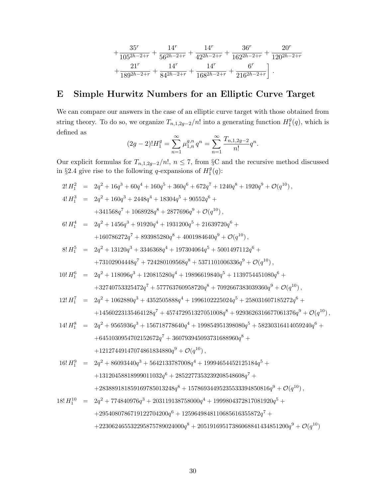$$
+\frac{35^r}{105^{2h-2+r}}+\frac{14^r}{56^{2h-2+r}}+\frac{14^r}{42^{2h-2+r}}+\frac{36^r}{162^{2h-2+r}}+\frac{20^r}{120^{2h-2+r}}\\+\frac{21^r}{189^{2h-2+r}}+\frac{14^r}{84^{2h-2+r}}+\frac{14^r}{168^{2h-2+r}}+\frac{6^r}{216^{2h-2+r}}\bigg].
$$

# E Simple Hurwitz Numbers for an Elliptic Curve Target

We can compare our answers in the case of an elliptic curve target with those obtained from string theory. To do so, we organize  $T_{n,1,2g-2}/n!$  into a generating function  $H_1^g$  $_1^g(q)$ , which is defined as

$$
(2g-2)!H_1^g = \sum_{n=1}^{\infty} \mu_{1,n}^{g,n} q^n = \sum_{n=1}^{\infty} \frac{T_{n,1,2g-2}}{n!} q^n.
$$

Our explicit formulas for  $T_{n,1,2g-2}/n!$ ,  $n \leq 7$ , from §C and the recursive method discussed in §2.4 give rise to the following q-expansions of  $H_1^9$  $\frac{g}{1}(q)$ :

$$
2! H_1^2 = 2q^2 + 16q^3 + 60q^4 + 160q^5 + 360q^6 + 672q^7 + 1240q^8 + 1920q^9 + \mathcal{O}(q^{10}),
$$
  
\n
$$
4! H_1^3 = 2q^2 + 160q^3 + 2448q^4 + 18304q^5 + 90552q^6 +
$$
  
\n
$$
+ 341568q^7 + 1068928q^8 + 2877696q^9 + \mathcal{O}(q^{10}),
$$
  
\n
$$
6! H_1^4 = 2q^2 + 1456q^3 + 91920q^4 + 1931200q^5 + 21639720q^6 +
$$
  
\n
$$
+ 160786272q^7 + 893985280q^8 + 4001984640q^9 + \mathcal{O}(q^{10}),
$$
  
\n
$$
8! H_1^5 = 2q^2 + 13120q^3 + 3346368q^4 + 197304064q^5 + 5001497112q^6 +
$$
  
\n
$$
+ 73102904448q^7 + 724280109568q^8 + 5371101006336q^9 + \mathcal{O}(q^{10}),
$$

10! 
$$
H_1^6
$$
 =  $2q^2 + 118096q^3 + 120815280q^4 + 19896619840q^5 + 1139754451080q^6 +$   
+32740753325472 $q^7$  + 577763760958720 $q^8$  + 7092667383039360 $q^9$  +  $\mathcal{O}(q^{10})$ ,

$$
\begin{array}{lll} 12! \, H_1^7 & = & 2 q^2 + 1062880 q^3 + 4352505888 q^4 + 1996102225024 q^5 + 258031607185272 q^6 + \\ & & + 14560223135464128 q^7 + 457472951327051008 q^8 + 9293626316677061376 q^9 + \mathcal{O}(q^{10}) \,, \end{array}
$$

$$
\begin{array}{lll} 14! \, H_1^8 & = & 2q^2+9565936 q^3+156718778640 q^4+199854951398080 q^5+58230316414059240 q^6+ \\ & & + 6451030954702152672 q^7+360793945093731688960 q^8+ \\ & & + 12127449147074861834880 q^9 + \mathcal{O}(q^{10}) \,, \end{array}
$$

$$
\begin{array}{lll} 16!\, H_1^9 & = & 2q^2+86093440q^3+5642133787008q^4+19994654452125184q^5+\\ & & + 13120458818999011032q^6+2852277353239208548608q^7+\\ & & + 283889181859169785013248q^8+15786934495235533394850816q^9+\mathcal{O}(q^{10})\,, \end{array}
$$

$$
\begin{array}{lll} 18!\, H_1^{10} & = & 2q^2+774840976 q^3+203119138758000 q^4+1999804372817081920 q^5+ \\ & & +2954080786719122704200 q^6+1259649848110685616355872 q^7+ \\ & & +223062465532295875789024000 q^8+20519169517386068841434851200 q^9+\mathcal{O}(q^{10}) \end{array}
$$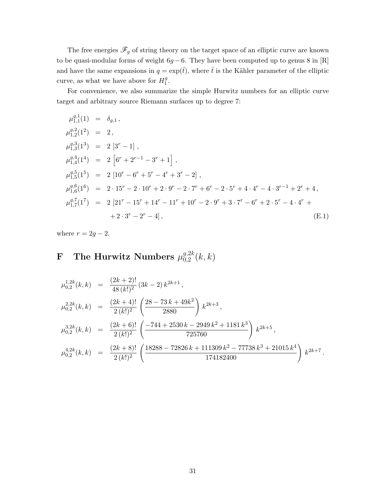The free energies  $\mathscr{F}_g$  of string theory on the target space of an elliptic curve are known to be quasi-modular forms of weight  $6g - 6$ . They have been computed up to genus 8 in [R] and have the same expansions in  $q = \exp(\hat{t})$ , where  $\hat{t}$  is the Kähler parameter of the elliptic curve, as what we have above for  $H_1^9$  $\frac{g}{1}$ .

For convenience, we also summarize the simple Hurwitz numbers for an elliptic curve target and arbitrary source Riemann surfaces up to degree 7:

$$
\mu_{1,1}^{g,1}(1) = \delta_{g,1},
$$
\n
$$
\mu_{1,2}^{g,2}(1^2) = 2,
$$
\n
$$
\mu_{1,3}^{g,3}(1^3) = 2 [3^r - 1],
$$
\n
$$
\mu_{1,4}^{g,4}(1^4) = 2 [6^r + 2^{r-1} - 3^r + 1],
$$
\n
$$
\mu_{1,5}^{g,5}(1^5) = 2 [10^r - 6^r + 5^r - 4^r + 3^r - 2],
$$
\n
$$
\mu_{1,6}^{g,6}(1^6) = 2 \cdot 15^r - 2 \cdot 10^r + 2 \cdot 9^r - 2 \cdot 7^r + 6^r - 2 \cdot 5^r + 4 \cdot 4^r - 4 \cdot 3^{r-1} + 2^r + 4,
$$
\n
$$
\mu_{1,7}^{g,7}(1^7) = 2 [21^r - 15^r + 14^r - 11^r + 10^r - 2 \cdot 9^r + 3 \cdot 7^r - 6^r + 2 \cdot 5^r - 4 \cdot 4^r + 2 \cdot 3^r - 2^r - 4],
$$
\n(E.1)

where  $r = 2g - 2$ .

#### F The Hurwitz Numbers  $\mu^{g,2k}_{0.2}$  $_{0,2}^{g,2\kappa}(k,k)$

$$
\mu_{0,2}^{1,2k}(k,k) = \frac{(2k+2)!}{48(k!)^2} (3k-2) k^{2k+1},
$$
\n
$$
\mu_{0,2}^{2,2k}(k,k) = \frac{(2k+4)!}{2(k!)^2} \left(\frac{28-73 k+49 k^2}{2880}\right) k^{2k+3},
$$
\n
$$
\mu_{0,2}^{3,2k}(k,k) = \frac{(2k+6)!}{2(k!)^2} \left(\frac{-744+2530 k-2949 k^2+1181 k^3}{725760}\right) k^{2k+5},
$$
\n
$$
\mu_{0,2}^{4,2k}(k,k) = \frac{(2k+8)!}{2(k!)^2} \left(\frac{18288-72826 k+111309 k^2-77738 k^3+21015 k^4}{174182400}\right) k^{2k+7}.
$$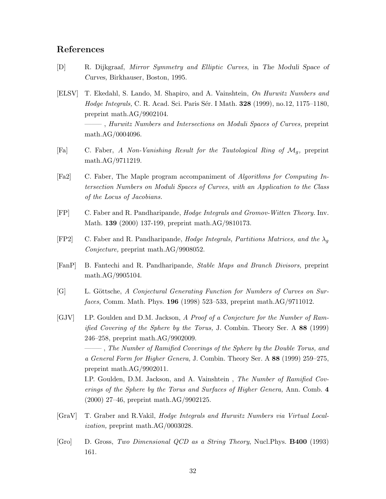### References

math.AG/0004096.

- [D] R. Dijkgraaf, Mirror Symmetry and Elliptic Curves, in The Moduli Space of Curves, Birkhauser, Boston, 1995.
- [ELSV] T. Ekedahl, S. Lando, M. Shapiro, and A. Vainshtein, On Hurwitz Numbers and Hodge Integrals, C. R. Acad. Sci. Paris Sér. I Math. **328** (1999), no.12, 1175–1180, preprint math.AG/9902104. ——– , Hurwitz Numbers and Intersections on Moduli Spaces of Curves, preprint
- [Fa] C. Faber, A Non-Vanishing Result for the Tautological Ring of  $\mathcal{M}_q$ , preprint math.AG/9711219.
- [Fa2] C. Faber, The Maple program accompaniment of Algorithms for Computing Intersection Numbers on Moduli Spaces of Curves, with an Application to the Class of the Locus of Jacobians.
- [FP] C. Faber and R. Pandharipande, Hodge Integrals and Gromov-Witten Theory. Inv. Math. 139 (2000) 137-199, preprint math.AG/9810173.
- [FP2] C. Faber and R. Pandharipande, *Hodge Integrals, Partitions Matrices, and the*  $\lambda_q$ Conjecture, preprint math.AG/9908052.
- [FanP] B. Fantechi and R. Pandharipande, Stable Maps and Branch Divisors, preprint math.AG/9905104.
- [G] L. Göttsche, A Conjectural Generating Function for Numbers of Curves on Surfaces, Comm. Math. Phys. 196 (1998) 523–533, preprint math.AG/9711012.
- [GJV] I.P. Goulden and D.M. Jackson, A Proof of a Conjecture for the Number of Ramified Covering of the Sphere by the Torus, J. Combin. Theory Ser. A 88 (1999) 246–258, preprint math.AG/9902009.

——– , The Number of Ramified Coverings of the Sphere by the Double Torus, and a General Form for Higher Genera, J. Combin. Theory Ser. A 88 (1999) 259–275, preprint math.AG/9902011.

I.P. Goulden, D.M. Jackson, and A. Vainshtein , The Number of Ramified Coverings of the Sphere by the Torus and Surfaces of Higher Genera, Ann. Comb. 4 (2000) 27–46, preprint math.AG/9902125.

- [GraV] T. Graber and R.Vakil, Hodge Integrals and Hurwitz Numbers via Virtual Localization, preprint math.AG/0003028.
- [Gro] D. Gross, Two Dimensional QCD as a String Theory, Nucl.Phys. B400 (1993) 161.